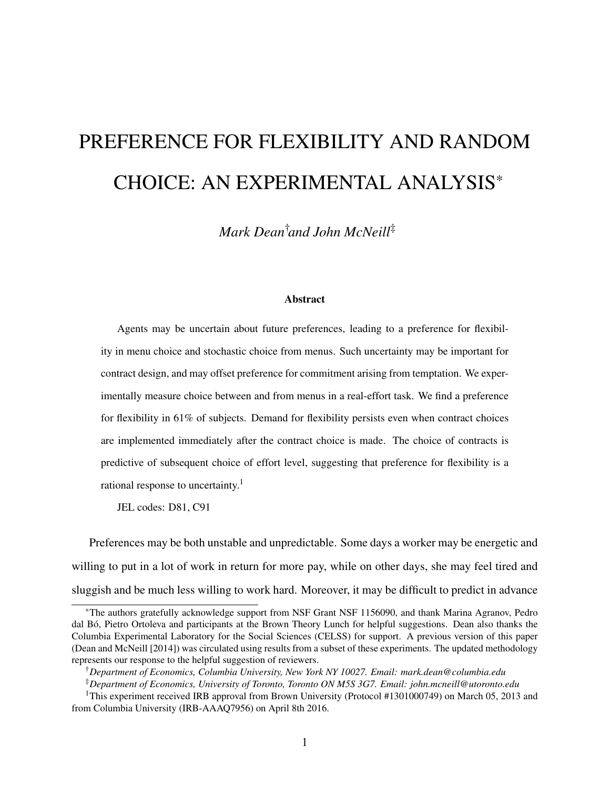# PREFERENCE FOR FLEXIBILITY AND RANDOM CHOICE: AN EXPERIMENTAL ANALYSIS\*

*Mark Dean*†*and John McNeill*‡

#### Abstract

Agents may be uncertain about future preferences, leading to a preference for flexibility in menu choice and stochastic choice from menus. Such uncertainty may be important for contract design, and may offset preference for commitment arising from temptation. We experimentally measure choice between and from menus in a real-effort task. We find a preference for flexibility in 61% of subjects. Demand for flexibility persists even when contract choices are implemented immediately after the contract choice is made. The choice of contracts is predictive of subsequent choice of effort level, suggesting that preference for flexibility is a rational response to uncertainty.<sup>1</sup>

JEL codes: D81, C91

Preferences may be both unstable and unpredictable. Some days a worker may be energetic and willing to put in a lot of work in return for more pay, while on other days, she may feel tired and sluggish and be much less willing to work hard. Moreover, it may be difficult to predict in advance

<sup>\*</sup>The authors gratefully acknowledge support from NSF Grant NSF 1156090, and thank Marina Agranov, Pedro dal Bó, Pietro Ortoleva and participants at the Brown Theory Lunch for helpful suggestions. Dean also thanks the Columbia Experimental Laboratory for the Social Sciences (CELSS) for support. A previous version of this paper (Dean and McNeill [2014]) was circulated using results from a subset of these experiments. The updated methodology represents our response to the helpful suggestion of reviewers.

<sup>†</sup>*Department of Economics, Columbia University, New York NY 10027. Email: mark.dean@columbia.edu*

<sup>‡</sup>*Department of Economics, University of Toronto, Toronto ON M5S 3G7. Email: john.mcneill@utoronto.edu*

<sup>&</sup>lt;sup>1</sup>This experiment received IRB approval from Brown University (Protocol #1301000749) on March 05, 2013 and from Columbia University (IRB-AAAQ7956) on April 8th 2016.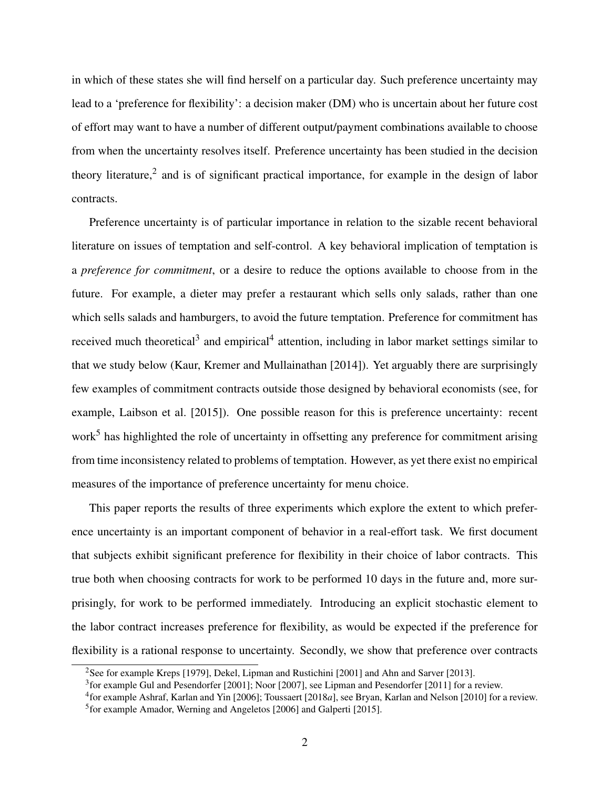in which of these states she will find herself on a particular day. Such preference uncertainty may lead to a 'preference for flexibility': a decision maker (DM) who is uncertain about her future cost of effort may want to have a number of different output/payment combinations available to choose from when the uncertainty resolves itself. Preference uncertainty has been studied in the decision theory literature,<sup>2</sup> and is of significant practical importance, for example in the design of labor contracts.

Preference uncertainty is of particular importance in relation to the sizable recent behavioral literature on issues of temptation and self-control. A key behavioral implication of temptation is a *preference for commitment*, or a desire to reduce the options available to choose from in the future. For example, a dieter may prefer a restaurant which sells only salads, rather than one which sells salads and hamburgers, to avoid the future temptation. Preference for commitment has received much theoretical<sup>3</sup> and empirical<sup>4</sup> attention, including in labor market settings similar to that we study below (Kaur, Kremer and Mullainathan [2014]). Yet arguably there are surprisingly few examples of commitment contracts outside those designed by behavioral economists (see, for example, Laibson et al. [2015]). One possible reason for this is preference uncertainty: recent work<sup>5</sup> has highlighted the role of uncertainty in offsetting any preference for commitment arising from time inconsistency related to problems of temptation. However, as yet there exist no empirical measures of the importance of preference uncertainty for menu choice.

This paper reports the results of three experiments which explore the extent to which preference uncertainty is an important component of behavior in a real-effort task. We first document that subjects exhibit significant preference for flexibility in their choice of labor contracts. This true both when choosing contracts for work to be performed 10 days in the future and, more surprisingly, for work to be performed immediately. Introducing an explicit stochastic element to the labor contract increases preference for flexibility, as would be expected if the preference for flexibility is a rational response to uncertainty. Secondly, we show that preference over contracts

<sup>&</sup>lt;sup>2</sup>See for example Kreps [1979], Dekel, Lipman and Rustichini [2001] and Ahn and Sarver [2013].

<sup>&</sup>lt;sup>3</sup> for example Gul and Pesendorfer [2001]; Noor [2007], see Lipman and Pesendorfer [2011] for a review.

<sup>4</sup> for example Ashraf, Karlan and Yin [2006]; Toussaert [2018*a*], see Bryan, Karlan and Nelson [2010] for a review. <sup>5</sup> for example Amador, Werning and Angeletos [2006] and Galperti [2015].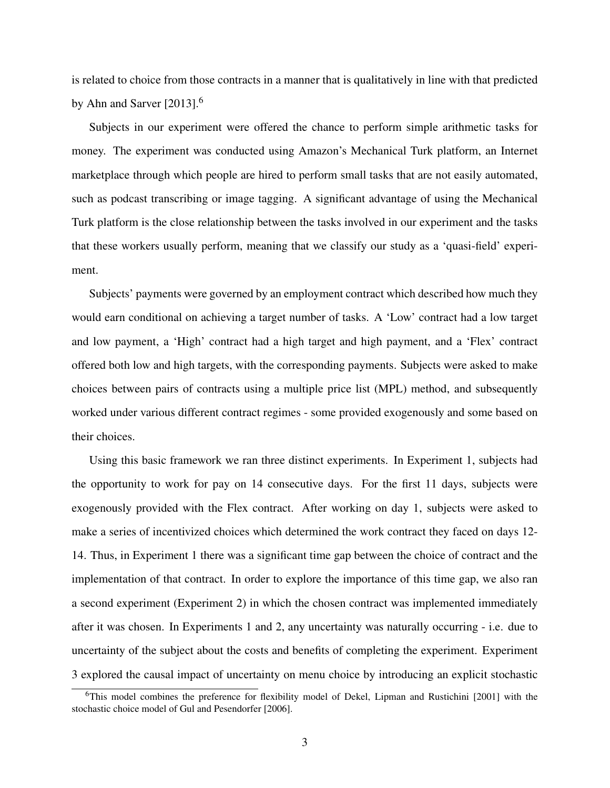is related to choice from those contracts in a manner that is qualitatively in line with that predicted by Ahn and Sarver [2013].<sup>6</sup>

Subjects in our experiment were offered the chance to perform simple arithmetic tasks for money. The experiment was conducted using Amazon's Mechanical Turk platform, an Internet marketplace through which people are hired to perform small tasks that are not easily automated, such as podcast transcribing or image tagging. A significant advantage of using the Mechanical Turk platform is the close relationship between the tasks involved in our experiment and the tasks that these workers usually perform, meaning that we classify our study as a 'quasi-field' experiment.

Subjects' payments were governed by an employment contract which described how much they would earn conditional on achieving a target number of tasks. A 'Low' contract had a low target and low payment, a 'High' contract had a high target and high payment, and a 'Flex' contract offered both low and high targets, with the corresponding payments. Subjects were asked to make choices between pairs of contracts using a multiple price list (MPL) method, and subsequently worked under various different contract regimes - some provided exogenously and some based on their choices.

Using this basic framework we ran three distinct experiments. In Experiment 1, subjects had the opportunity to work for pay on 14 consecutive days. For the first 11 days, subjects were exogenously provided with the Flex contract. After working on day 1, subjects were asked to make a series of incentivized choices which determined the work contract they faced on days 12- 14. Thus, in Experiment 1 there was a significant time gap between the choice of contract and the implementation of that contract. In order to explore the importance of this time gap, we also ran a second experiment (Experiment 2) in which the chosen contract was implemented immediately after it was chosen. In Experiments 1 and 2, any uncertainty was naturally occurring - i.e. due to uncertainty of the subject about the costs and benefits of completing the experiment. Experiment 3 explored the causal impact of uncertainty on menu choice by introducing an explicit stochastic

<sup>6</sup>This model combines the preference for flexibility model of Dekel, Lipman and Rustichini [2001] with the stochastic choice model of Gul and Pesendorfer [2006].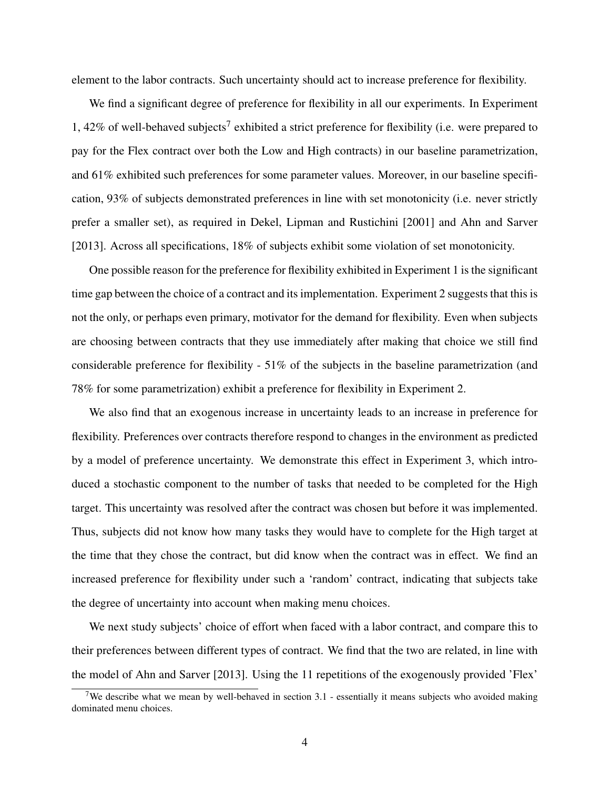element to the labor contracts. Such uncertainty should act to increase preference for flexibility.

We find a significant degree of preference for flexibility in all our experiments. In Experiment 1, 42% of well-behaved subjects<sup>7</sup> exhibited a strict preference for flexibility (i.e. were prepared to pay for the Flex contract over both the Low and High contracts) in our baseline parametrization, and 61% exhibited such preferences for some parameter values. Moreover, in our baseline specification, 93% of subjects demonstrated preferences in line with set monotonicity (i.e. never strictly prefer a smaller set), as required in Dekel, Lipman and Rustichini [2001] and Ahn and Sarver [2013]. Across all specifications, 18% of subjects exhibit some violation of set monotonicity.

One possible reason for the preference for flexibility exhibited in Experiment 1 is the significant time gap between the choice of a contract and its implementation. Experiment 2 suggests that this is not the only, or perhaps even primary, motivator for the demand for flexibility. Even when subjects are choosing between contracts that they use immediately after making that choice we still find considerable preference for flexibility - 51% of the subjects in the baseline parametrization (and 78% for some parametrization) exhibit a preference for flexibility in Experiment 2.

We also find that an exogenous increase in uncertainty leads to an increase in preference for flexibility. Preferences over contracts therefore respond to changes in the environment as predicted by a model of preference uncertainty. We demonstrate this effect in Experiment 3, which introduced a stochastic component to the number of tasks that needed to be completed for the High target. This uncertainty was resolved after the contract was chosen but before it was implemented. Thus, subjects did not know how many tasks they would have to complete for the High target at the time that they chose the contract, but did know when the contract was in effect. We find an increased preference for flexibility under such a 'random' contract, indicating that subjects take the degree of uncertainty into account when making menu choices.

We next study subjects' choice of effort when faced with a labor contract, and compare this to their preferences between different types of contract. We find that the two are related, in line with the model of Ahn and Sarver [2013]. Using the 11 repetitions of the exogenously provided 'Flex'

<sup>&</sup>lt;sup>7</sup>We describe what we mean by well-behaved in section  $3.1$  - essentially it means subjects who avoided making dominated menu choices.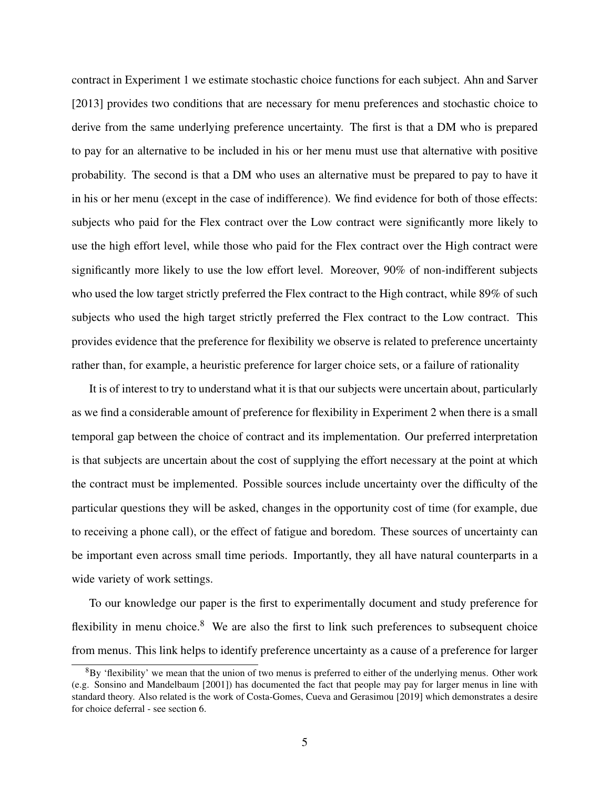contract in Experiment 1 we estimate stochastic choice functions for each subject. Ahn and Sarver [2013] provides two conditions that are necessary for menu preferences and stochastic choice to derive from the same underlying preference uncertainty. The first is that a DM who is prepared to pay for an alternative to be included in his or her menu must use that alternative with positive probability. The second is that a DM who uses an alternative must be prepared to pay to have it in his or her menu (except in the case of indifference). We find evidence for both of those effects: subjects who paid for the Flex contract over the Low contract were significantly more likely to use the high effort level, while those who paid for the Flex contract over the High contract were significantly more likely to use the low effort level. Moreover, 90% of non-indifferent subjects who used the low target strictly preferred the Flex contract to the High contract, while 89% of such subjects who used the high target strictly preferred the Flex contract to the Low contract. This provides evidence that the preference for flexibility we observe is related to preference uncertainty rather than, for example, a heuristic preference for larger choice sets, or a failure of rationality

It is of interest to try to understand what it is that our subjects were uncertain about, particularly as we find a considerable amount of preference for flexibility in Experiment 2 when there is a small temporal gap between the choice of contract and its implementation. Our preferred interpretation is that subjects are uncertain about the cost of supplying the effort necessary at the point at which the contract must be implemented. Possible sources include uncertainty over the difficulty of the particular questions they will be asked, changes in the opportunity cost of time (for example, due to receiving a phone call), or the effect of fatigue and boredom. These sources of uncertainty can be important even across small time periods. Importantly, they all have natural counterparts in a wide variety of work settings.

To our knowledge our paper is the first to experimentally document and study preference for flexibility in menu choice. $8$  We are also the first to link such preferences to subsequent choice from menus. This link helps to identify preference uncertainty as a cause of a preference for larger

 ${}^{8}$ By 'flexibility' we mean that the union of two menus is preferred to either of the underlying menus. Other work (e.g. Sonsino and Mandelbaum [2001]) has documented the fact that people may pay for larger menus in line with standard theory. Also related is the work of Costa-Gomes, Cueva and Gerasimou [2019] which demonstrates a desire for choice deferral - see section 6.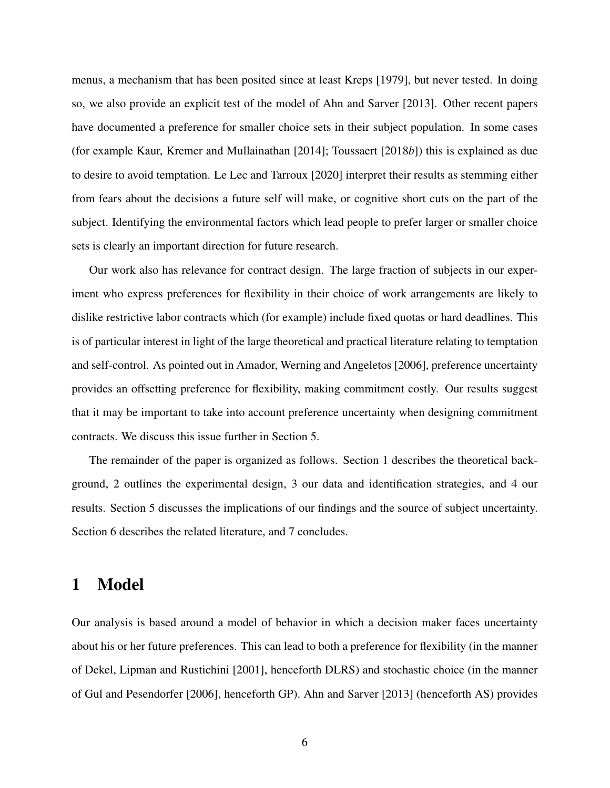menus, a mechanism that has been posited since at least Kreps [1979], but never tested. In doing so, we also provide an explicit test of the model of Ahn and Sarver [2013]. Other recent papers have documented a preference for smaller choice sets in their subject population. In some cases (for example Kaur, Kremer and Mullainathan [2014]; Toussaert [2018*b*]) this is explained as due to desire to avoid temptation. Le Lec and Tarroux [2020] interpret their results as stemming either from fears about the decisions a future self will make, or cognitive short cuts on the part of the subject. Identifying the environmental factors which lead people to prefer larger or smaller choice sets is clearly an important direction for future research.

Our work also has relevance for contract design. The large fraction of subjects in our experiment who express preferences for flexibility in their choice of work arrangements are likely to dislike restrictive labor contracts which (for example) include fixed quotas or hard deadlines. This is of particular interest in light of the large theoretical and practical literature relating to temptation and self-control. As pointed out in Amador, Werning and Angeletos [2006], preference uncertainty provides an offsetting preference for flexibility, making commitment costly. Our results suggest that it may be important to take into account preference uncertainty when designing commitment contracts. We discuss this issue further in Section 5.

The remainder of the paper is organized as follows. Section 1 describes the theoretical background, 2 outlines the experimental design, 3 our data and identification strategies, and 4 our results. Section 5 discusses the implications of our findings and the source of subject uncertainty. Section 6 describes the related literature, and 7 concludes.

# 1 Model

Our analysis is based around a model of behavior in which a decision maker faces uncertainty about his or her future preferences. This can lead to both a preference for flexibility (in the manner of Dekel, Lipman and Rustichini [2001], henceforth DLRS) and stochastic choice (in the manner of Gul and Pesendorfer [2006], henceforth GP). Ahn and Sarver [2013] (henceforth AS) provides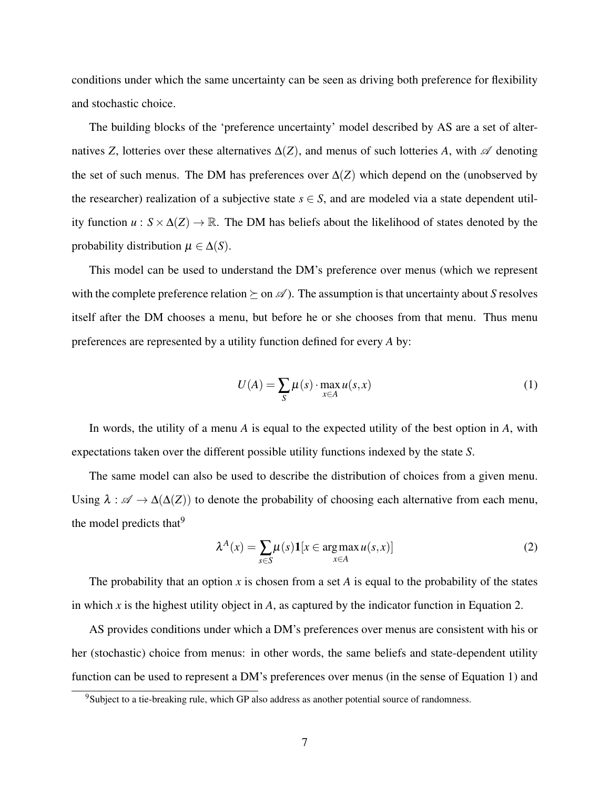conditions under which the same uncertainty can be seen as driving both preference for flexibility and stochastic choice.

The building blocks of the 'preference uncertainty' model described by AS are a set of alternatives *Z*, lotteries over these alternatives  $\Delta(Z)$ , and menus of such lotteries *A*, with  $\mathscr A$  denoting the set of such menus. The DM has preferences over  $\Delta(Z)$  which depend on the (unobserved by the researcher) realization of a subjective state  $s \in S$ , and are modeled via a state dependent utility function  $u : S \times \Delta(Z) \rightarrow \mathbb{R}$ . The DM has beliefs about the likelihood of states denoted by the probability distribution  $\mu \in \Delta(S)$ .

This model can be used to understand the DM's preference over menus (which we represent with the complete preference relation  $\succeq$  on  $\mathscr A$ ). The assumption is that uncertainty about *S* resolves itself after the DM chooses a menu, but before he or she chooses from that menu. Thus menu preferences are represented by a utility function defined for every *A* by:

$$
U(A) = \sum_{S} \mu(s) \cdot \max_{x \in A} u(s, x)
$$
 (1)

In words, the utility of a menu *A* is equal to the expected utility of the best option in *A*, with expectations taken over the different possible utility functions indexed by the state *S*.

The same model can also be used to describe the distribution of choices from a given menu. Using  $\lambda : \mathscr{A} \to \Delta(\Delta(Z))$  to denote the probability of choosing each alternative from each menu, the model predicts that  $9$ 

$$
\lambda^{A}(x) = \sum_{s \in S} \mu(s) \mathbf{1}[x \in \argmax_{x \in A} u(s, x)] \tag{2}
$$

The probability that an option *x* is chosen from a set *A* is equal to the probability of the states in which *x* is the highest utility object in *A*, as captured by the indicator function in Equation 2.

AS provides conditions under which a DM's preferences over menus are consistent with his or her (stochastic) choice from menus: in other words, the same beliefs and state-dependent utility function can be used to represent a DM's preferences over menus (in the sense of Equation 1) and

 $9$ Subject to a tie-breaking rule, which GP also address as another potential source of randomness.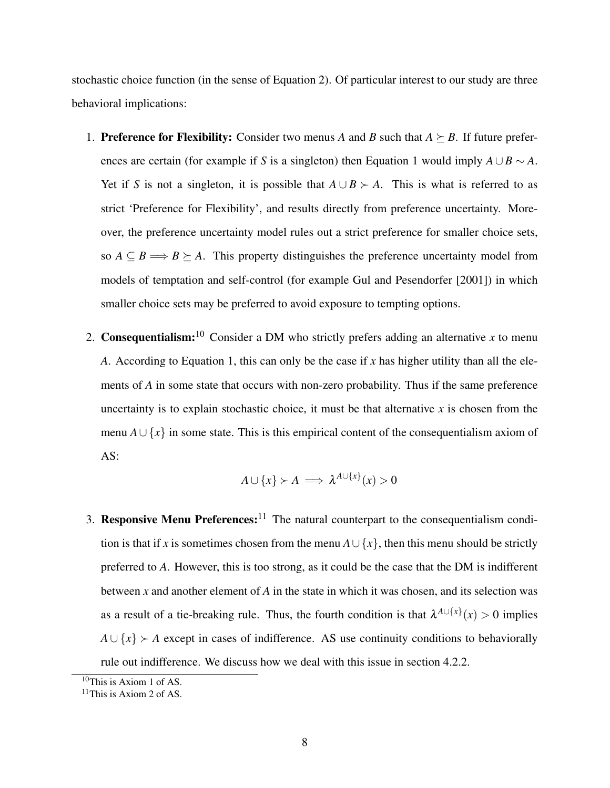stochastic choice function (in the sense of Equation 2). Of particular interest to our study are three behavioral implications:

- 1. **Preference for Flexibility:** Consider two menus *A* and *B* such that  $A \succeq B$ . If future preferences are certain (for example if *S* is a singleton) then Equation 1 would imply  $A \cup B \sim A$ . Yet if *S* is not a singleton, it is possible that  $A \cup B \succ A$ . This is what is referred to as strict 'Preference for Flexibility', and results directly from preference uncertainty. Moreover, the preference uncertainty model rules out a strict preference for smaller choice sets, so  $A \subseteq B \Longrightarrow B \succeq A$ . This property distinguishes the preference uncertainty model from models of temptation and self-control (for example Gul and Pesendorfer [2001]) in which smaller choice sets may be preferred to avoid exposure to tempting options.
- 2. **Consequentialism:**<sup>10</sup> Consider a DM who strictly prefers adding an alternative *x* to menu *A*. According to Equation 1, this can only be the case if *x* has higher utility than all the elements of *A* in some state that occurs with non-zero probability. Thus if the same preference uncertainty is to explain stochastic choice, it must be that alternative  $x$  is chosen from the menu  $A \cup \{x\}$  in some state. This is this empirical content of the consequentialism axiom of AS:

$$
A \cup \{x\} \succ A \implies \lambda^{A \cup \{x\}}(x) > 0
$$

3. Responsive Menu Preferences:<sup>11</sup> The natural counterpart to the consequentialism condition is that if *x* is sometimes chosen from the menu  $A \cup \{x\}$ , then this menu should be strictly preferred to *A*. However, this is too strong, as it could be the case that the DM is indifferent between *x* and another element of *A* in the state in which it was chosen, and its selection was as a result of a tie-breaking rule. Thus, the fourth condition is that  $\lambda^{A \cup \{x\}}(x) > 0$  implies  $A \cup \{x\}$  
ightarrow *A* except in cases of indifference. AS use continuity conditions to behaviorally rule out indifference. We discuss how we deal with this issue in section 4.2.2.

 $10$ This is Axiom 1 of AS.

 $11$ This is Axiom 2 of AS.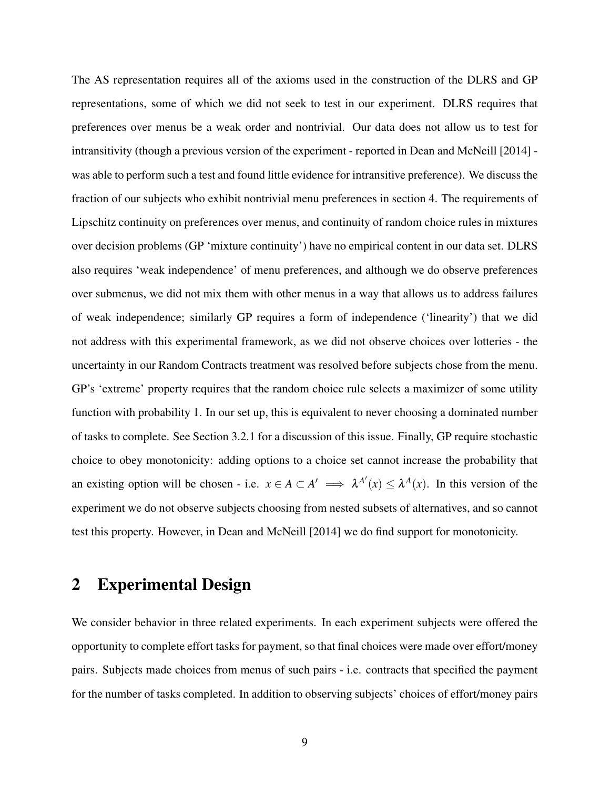The AS representation requires all of the axioms used in the construction of the DLRS and GP representations, some of which we did not seek to test in our experiment. DLRS requires that preferences over menus be a weak order and nontrivial. Our data does not allow us to test for intransitivity (though a previous version of the experiment - reported in Dean and McNeill [2014] was able to perform such a test and found little evidence for intransitive preference). We discuss the fraction of our subjects who exhibit nontrivial menu preferences in section 4. The requirements of Lipschitz continuity on preferences over menus, and continuity of random choice rules in mixtures over decision problems (GP 'mixture continuity') have no empirical content in our data set. DLRS also requires 'weak independence' of menu preferences, and although we do observe preferences over submenus, we did not mix them with other menus in a way that allows us to address failures of weak independence; similarly GP requires a form of independence ('linearity') that we did not address with this experimental framework, as we did not observe choices over lotteries - the uncertainty in our Random Contracts treatment was resolved before subjects chose from the menu. GP's 'extreme' property requires that the random choice rule selects a maximizer of some utility function with probability 1. In our set up, this is equivalent to never choosing a dominated number of tasks to complete. See Section 3.2.1 for a discussion of this issue. Finally, GP require stochastic choice to obey monotonicity: adding options to a choice set cannot increase the probability that an existing option will be chosen - i.e.  $x \in A \subset A' \implies \lambda^{A'}(x) \leq \lambda^{A}(x)$ . In this version of the experiment we do not observe subjects choosing from nested subsets of alternatives, and so cannot test this property. However, in Dean and McNeill [2014] we do find support for monotonicity.

# 2 Experimental Design

We consider behavior in three related experiments. In each experiment subjects were offered the opportunity to complete effort tasks for payment, so that final choices were made over effort/money pairs. Subjects made choices from menus of such pairs - i.e. contracts that specified the payment for the number of tasks completed. In addition to observing subjects' choices of effort/money pairs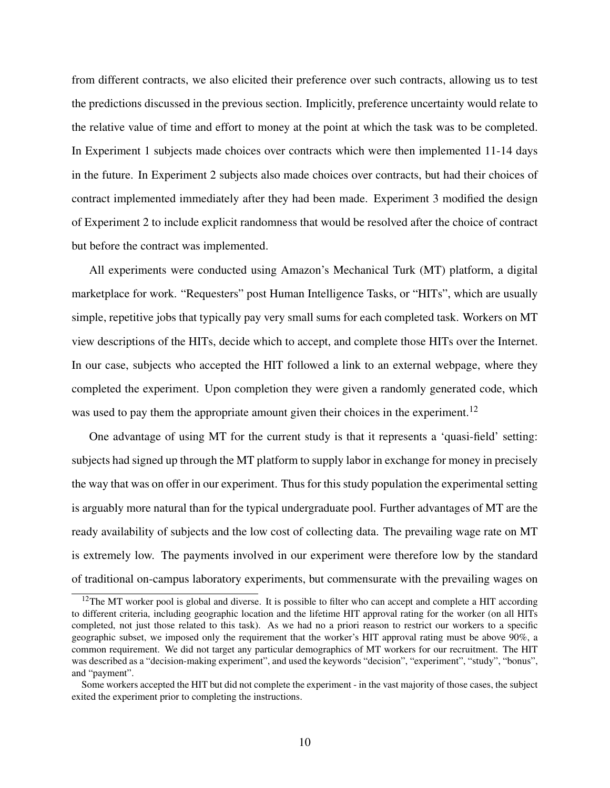from different contracts, we also elicited their preference over such contracts, allowing us to test the predictions discussed in the previous section. Implicitly, preference uncertainty would relate to the relative value of time and effort to money at the point at which the task was to be completed. In Experiment 1 subjects made choices over contracts which were then implemented 11-14 days in the future. In Experiment 2 subjects also made choices over contracts, but had their choices of contract implemented immediately after they had been made. Experiment 3 modified the design of Experiment 2 to include explicit randomness that would be resolved after the choice of contract but before the contract was implemented.

All experiments were conducted using Amazon's Mechanical Turk (MT) platform, a digital marketplace for work. "Requesters" post Human Intelligence Tasks, or "HITs", which are usually simple, repetitive jobs that typically pay very small sums for each completed task. Workers on MT view descriptions of the HITs, decide which to accept, and complete those HITs over the Internet. In our case, subjects who accepted the HIT followed a link to an external webpage, where they completed the experiment. Upon completion they were given a randomly generated code, which was used to pay them the appropriate amount given their choices in the experiment.<sup>12</sup>

One advantage of using MT for the current study is that it represents a 'quasi-field' setting: subjects had signed up through the MT platform to supply labor in exchange for money in precisely the way that was on offer in our experiment. Thus for this study population the experimental setting is arguably more natural than for the typical undergraduate pool. Further advantages of MT are the ready availability of subjects and the low cost of collecting data. The prevailing wage rate on MT is extremely low. The payments involved in our experiment were therefore low by the standard of traditional on-campus laboratory experiments, but commensurate with the prevailing wages on

 $12$ The MT worker pool is global and diverse. It is possible to filter who can accept and complete a HIT according to different criteria, including geographic location and the lifetime HIT approval rating for the worker (on all HITs completed, not just those related to this task). As we had no a priori reason to restrict our workers to a specific geographic subset, we imposed only the requirement that the worker's HIT approval rating must be above 90%, a common requirement. We did not target any particular demographics of MT workers for our recruitment. The HIT was described as a "decision-making experiment", and used the keywords "decision", "experiment", "study", "bonus", and "payment".

Some workers accepted the HIT but did not complete the experiment - in the vast majority of those cases, the subject exited the experiment prior to completing the instructions.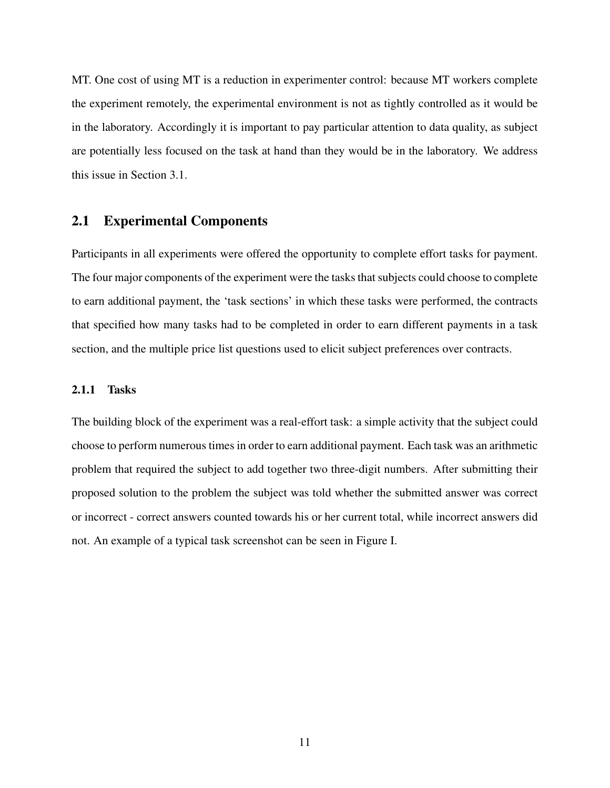MT. One cost of using MT is a reduction in experimenter control: because MT workers complete the experiment remotely, the experimental environment is not as tightly controlled as it would be in the laboratory. Accordingly it is important to pay particular attention to data quality, as subject are potentially less focused on the task at hand than they would be in the laboratory. We address this issue in Section 3.1.

## 2.1 Experimental Components

Participants in all experiments were offered the opportunity to complete effort tasks for payment. The four major components of the experiment were the tasks that subjects could choose to complete to earn additional payment, the 'task sections' in which these tasks were performed, the contracts that specified how many tasks had to be completed in order to earn different payments in a task section, and the multiple price list questions used to elicit subject preferences over contracts.

#### 2.1.1 Tasks

The building block of the experiment was a real-effort task: a simple activity that the subject could choose to perform numerous times in order to earn additional payment. Each task was an arithmetic problem that required the subject to add together two three-digit numbers. After submitting their proposed solution to the problem the subject was told whether the submitted answer was correct or incorrect - correct answers counted towards his or her current total, while incorrect answers did not. An example of a typical task screenshot can be seen in Figure I.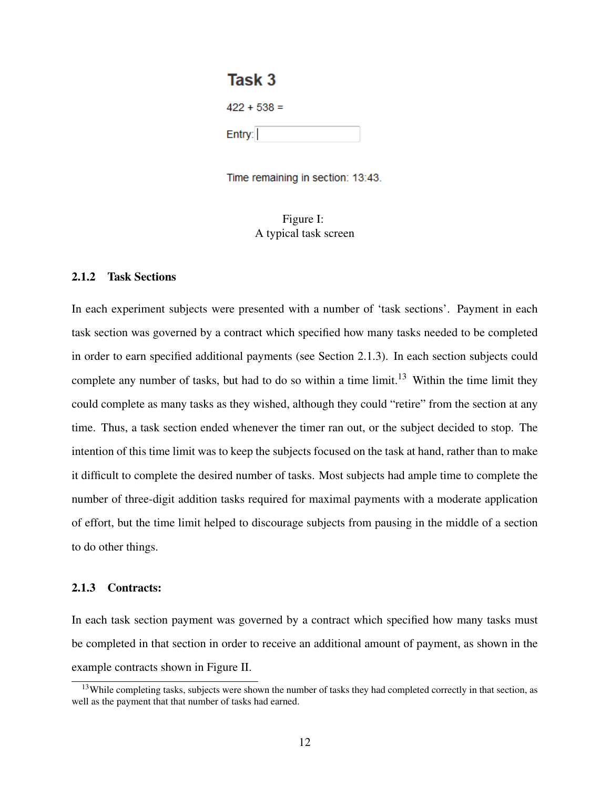# Task<sub>3</sub>

| 422 + 538 = |  |
|-------------|--|
| Entry:      |  |

Time remaining in section: 13:43.

Figure I: A typical task screen

### 2.1.2 Task Sections

In each experiment subjects were presented with a number of 'task sections'. Payment in each task section was governed by a contract which specified how many tasks needed to be completed in order to earn specified additional payments (see Section 2.1.3). In each section subjects could complete any number of tasks, but had to do so within a time limit.<sup>13</sup> Within the time limit they could complete as many tasks as they wished, although they could "retire" from the section at any time. Thus, a task section ended whenever the timer ran out, or the subject decided to stop. The intention of this time limit was to keep the subjects focused on the task at hand, rather than to make it difficult to complete the desired number of tasks. Most subjects had ample time to complete the number of three-digit addition tasks required for maximal payments with a moderate application of effort, but the time limit helped to discourage subjects from pausing in the middle of a section to do other things.

### 2.1.3 Contracts:

In each task section payment was governed by a contract which specified how many tasks must be completed in that section in order to receive an additional amount of payment, as shown in the example contracts shown in Figure II.

<sup>&</sup>lt;sup>13</sup>While completing tasks, subjects were shown the number of tasks they had completed correctly in that section, as well as the payment that that number of tasks had earned.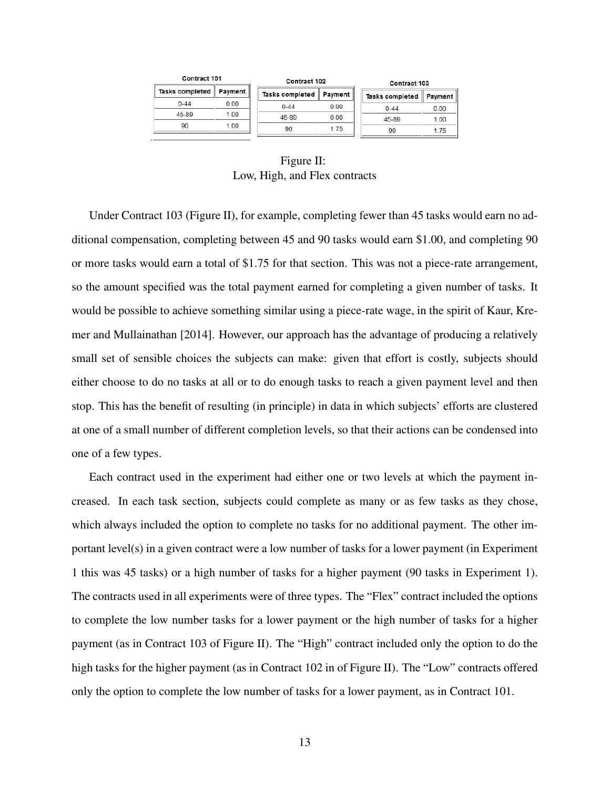| <b>Contract 101</b>       |      | <b>Contract 102</b>       |      | <b>Contract 103</b>       |      |  |
|---------------------------|------|---------------------------|------|---------------------------|------|--|
| Tasks completed   Payment |      | Tasks completed   Payment |      | Tasks completed   Payment |      |  |
| $0 - 44$                  | 0.00 | $0 - 44$                  | 0.00 | $0 - 44$                  | 0.00 |  |
| 45-89                     | 1.00 | 45-89                     | 0.00 | 45-89                     | 1.00 |  |
| 90                        | 1.00 | 90                        | 1.75 | 90                        | 175  |  |
|                           |      |                           |      |                           |      |  |

Figure II: Low, High, and Flex contracts

Under Contract 103 (Figure II), for example, completing fewer than 45 tasks would earn no additional compensation, completing between 45 and 90 tasks would earn \$1.00, and completing 90 or more tasks would earn a total of \$1.75 for that section. This was not a piece-rate arrangement, so the amount specified was the total payment earned for completing a given number of tasks. It would be possible to achieve something similar using a piece-rate wage, in the spirit of Kaur, Kremer and Mullainathan [2014]. However, our approach has the advantage of producing a relatively small set of sensible choices the subjects can make: given that effort is costly, subjects should either choose to do no tasks at all or to do enough tasks to reach a given payment level and then stop. This has the benefit of resulting (in principle) in data in which subjects' efforts are clustered at one of a small number of different completion levels, so that their actions can be condensed into one of a few types.

Each contract used in the experiment had either one or two levels at which the payment increased. In each task section, subjects could complete as many or as few tasks as they chose, which always included the option to complete no tasks for no additional payment. The other important level(s) in a given contract were a low number of tasks for a lower payment (in Experiment 1 this was 45 tasks) or a high number of tasks for a higher payment (90 tasks in Experiment 1). The contracts used in all experiments were of three types. The "Flex" contract included the options to complete the low number tasks for a lower payment or the high number of tasks for a higher payment (as in Contract 103 of Figure II). The "High" contract included only the option to do the high tasks for the higher payment (as in Contract 102 in of Figure II). The "Low" contracts offered only the option to complete the low number of tasks for a lower payment, as in Contract 101.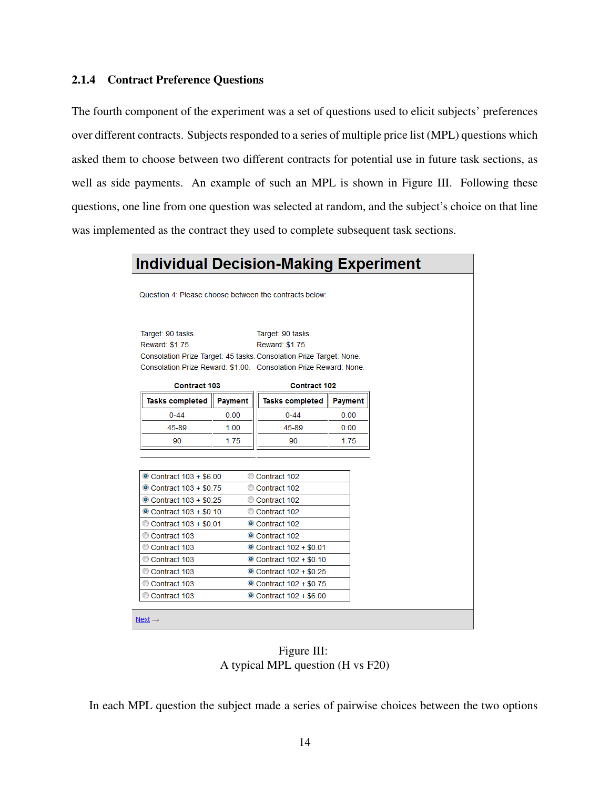#### 2.1.4 Contract Preference Questions

The fourth component of the experiment was a set of questions used to elicit subjects' preferences over different contracts. Subjects responded to a series of multiple price list (MPL) questions which asked them to choose between two different contracts for potential use in future task sections, as well as side payments. An example of such an MPL is shown in Figure III. Following these questions, one line from one question was selected at random, and the subject's choice on that line was implemented as the contract they used to complete subsequent task sections.

#### **Individual Decision-Making Experiment** Question 4: Please choose between the contracts below: Target: 90 tasks. Target: 90 tasks. Reward: \$1.75. Reward: \$1.75. Consolation Prize Target: 45 tasks. Consolation Prize Target: None. Consolation Prize Reward: \$1.00. Consolation Prize Reward: None. Contract 103 **Contract 102 Tasks completed** Payment **Tasks completed** Payment  $0 - 44$  $0.00$  $0 - 44$  $0.00$ 45-89 45-89  $1.00$  $0.00$ 90 1.75 90 1.75 Contract 103 + \$6.00 Contract 102 Contract 103 + \$0.75 Contract 102 Contract 103 + \$0.25 Contract 102

| Contract 103 + \$0.01<br>Contract 102<br>Contract 103<br>Contract 102<br>Contract 103<br><b>■ Contract 102 + \$0.01</b><br>Contract 103<br><b>■ Contract 102 + \$0.10</b> |
|---------------------------------------------------------------------------------------------------------------------------------------------------------------------------|
|                                                                                                                                                                           |
|                                                                                                                                                                           |
|                                                                                                                                                                           |
|                                                                                                                                                                           |
| Contract 103<br><b>■ Contract 102 + \$0.25</b>                                                                                                                            |
| Contract 103<br>Contract 102 + \$0.75                                                                                                                                     |
| Contract 103<br><b>■ Contract 102 + \$6.00</b>                                                                                                                            |
|                                                                                                                                                                           |

Figure III: A typical MPL question (H vs F20)

In each MPL question the subject made a series of pairwise choices between the two options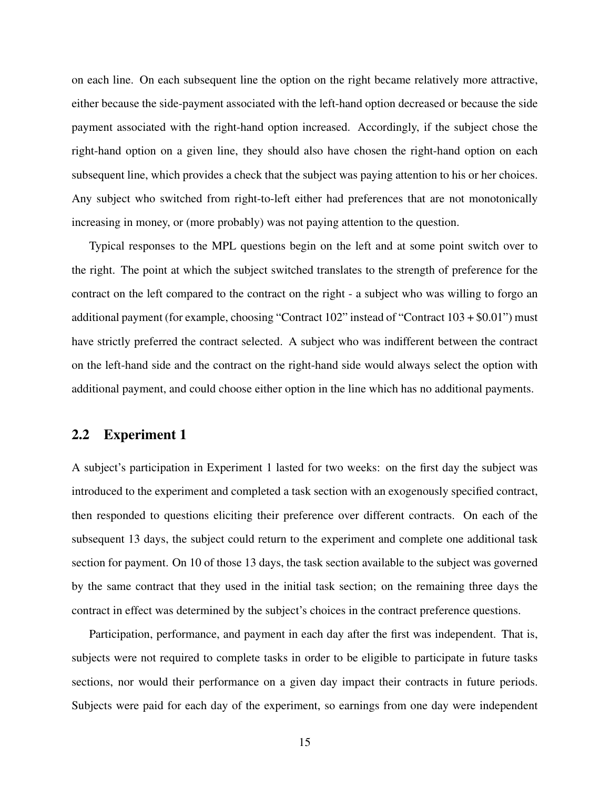on each line. On each subsequent line the option on the right became relatively more attractive, either because the side-payment associated with the left-hand option decreased or because the side payment associated with the right-hand option increased. Accordingly, if the subject chose the right-hand option on a given line, they should also have chosen the right-hand option on each subsequent line, which provides a check that the subject was paying attention to his or her choices. Any subject who switched from right-to-left either had preferences that are not monotonically increasing in money, or (more probably) was not paying attention to the question.

Typical responses to the MPL questions begin on the left and at some point switch over to the right. The point at which the subject switched translates to the strength of preference for the contract on the left compared to the contract on the right - a subject who was willing to forgo an additional payment (for example, choosing "Contract  $102$ " instead of "Contract  $103 + $0.01$ ") must have strictly preferred the contract selected. A subject who was indifferent between the contract on the left-hand side and the contract on the right-hand side would always select the option with additional payment, and could choose either option in the line which has no additional payments.

### 2.2 Experiment 1

A subject's participation in Experiment 1 lasted for two weeks: on the first day the subject was introduced to the experiment and completed a task section with an exogenously specified contract, then responded to questions eliciting their preference over different contracts. On each of the subsequent 13 days, the subject could return to the experiment and complete one additional task section for payment. On 10 of those 13 days, the task section available to the subject was governed by the same contract that they used in the initial task section; on the remaining three days the contract in effect was determined by the subject's choices in the contract preference questions.

Participation, performance, and payment in each day after the first was independent. That is, subjects were not required to complete tasks in order to be eligible to participate in future tasks sections, nor would their performance on a given day impact their contracts in future periods. Subjects were paid for each day of the experiment, so earnings from one day were independent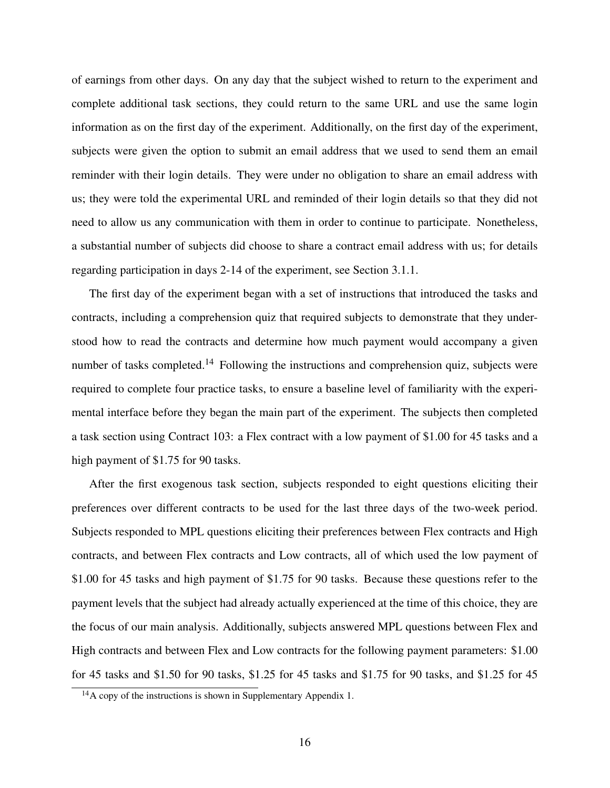of earnings from other days. On any day that the subject wished to return to the experiment and complete additional task sections, they could return to the same URL and use the same login information as on the first day of the experiment. Additionally, on the first day of the experiment, subjects were given the option to submit an email address that we used to send them an email reminder with their login details. They were under no obligation to share an email address with us; they were told the experimental URL and reminded of their login details so that they did not need to allow us any communication with them in order to continue to participate. Nonetheless, a substantial number of subjects did choose to share a contract email address with us; for details regarding participation in days 2-14 of the experiment, see Section 3.1.1.

The first day of the experiment began with a set of instructions that introduced the tasks and contracts, including a comprehension quiz that required subjects to demonstrate that they understood how to read the contracts and determine how much payment would accompany a given number of tasks completed.<sup>14</sup> Following the instructions and comprehension quiz, subjects were required to complete four practice tasks, to ensure a baseline level of familiarity with the experimental interface before they began the main part of the experiment. The subjects then completed a task section using Contract 103: a Flex contract with a low payment of \$1.00 for 45 tasks and a high payment of \$1.75 for 90 tasks.

After the first exogenous task section, subjects responded to eight questions eliciting their preferences over different contracts to be used for the last three days of the two-week period. Subjects responded to MPL questions eliciting their preferences between Flex contracts and High contracts, and between Flex contracts and Low contracts, all of which used the low payment of \$1.00 for 45 tasks and high payment of \$1.75 for 90 tasks. Because these questions refer to the payment levels that the subject had already actually experienced at the time of this choice, they are the focus of our main analysis. Additionally, subjects answered MPL questions between Flex and High contracts and between Flex and Low contracts for the following payment parameters: \$1.00 for 45 tasks and \$1.50 for 90 tasks, \$1.25 for 45 tasks and \$1.75 for 90 tasks, and \$1.25 for 45

 $14A$  copy of the instructions is shown in Supplementary Appendix 1.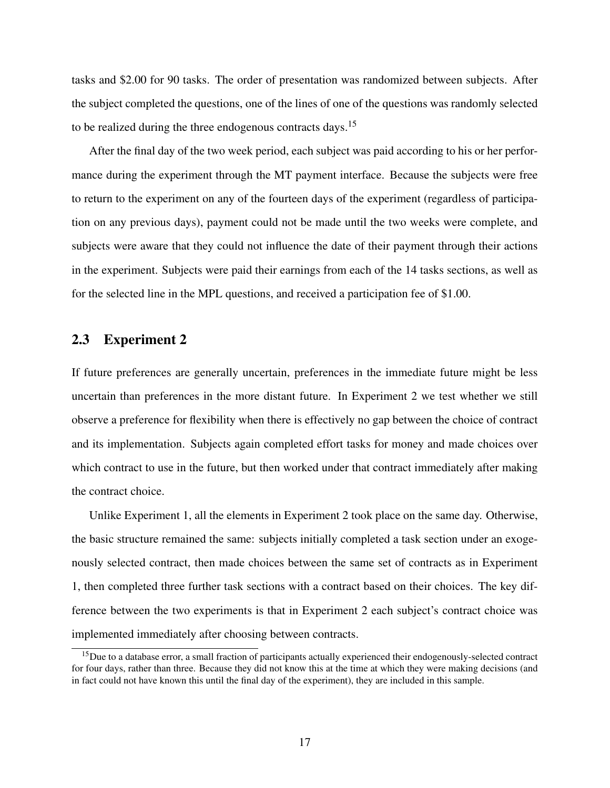tasks and \$2.00 for 90 tasks. The order of presentation was randomized between subjects. After the subject completed the questions, one of the lines of one of the questions was randomly selected to be realized during the three endogenous contracts days.<sup>15</sup>

After the final day of the two week period, each subject was paid according to his or her performance during the experiment through the MT payment interface. Because the subjects were free to return to the experiment on any of the fourteen days of the experiment (regardless of participation on any previous days), payment could not be made until the two weeks were complete, and subjects were aware that they could not influence the date of their payment through their actions in the experiment. Subjects were paid their earnings from each of the 14 tasks sections, as well as for the selected line in the MPL questions, and received a participation fee of \$1.00.

### 2.3 Experiment 2

If future preferences are generally uncertain, preferences in the immediate future might be less uncertain than preferences in the more distant future. In Experiment 2 we test whether we still observe a preference for flexibility when there is effectively no gap between the choice of contract and its implementation. Subjects again completed effort tasks for money and made choices over which contract to use in the future, but then worked under that contract immediately after making the contract choice.

Unlike Experiment 1, all the elements in Experiment 2 took place on the same day. Otherwise, the basic structure remained the same: subjects initially completed a task section under an exogenously selected contract, then made choices between the same set of contracts as in Experiment 1, then completed three further task sections with a contract based on their choices. The key difference between the two experiments is that in Experiment 2 each subject's contract choice was implemented immediately after choosing between contracts.

<sup>&</sup>lt;sup>15</sup>Due to a database error, a small fraction of participants actually experienced their endogenously-selected contract for four days, rather than three. Because they did not know this at the time at which they were making decisions (and in fact could not have known this until the final day of the experiment), they are included in this sample.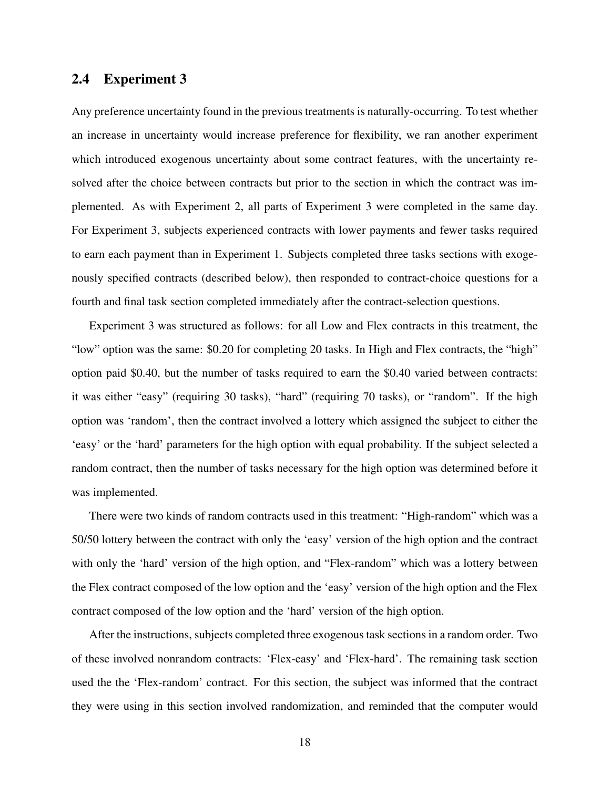### 2.4 Experiment 3

Any preference uncertainty found in the previous treatments is naturally-occurring. To test whether an increase in uncertainty would increase preference for flexibility, we ran another experiment which introduced exogenous uncertainty about some contract features, with the uncertainty resolved after the choice between contracts but prior to the section in which the contract was implemented. As with Experiment 2, all parts of Experiment 3 were completed in the same day. For Experiment 3, subjects experienced contracts with lower payments and fewer tasks required to earn each payment than in Experiment 1. Subjects completed three tasks sections with exogenously specified contracts (described below), then responded to contract-choice questions for a fourth and final task section completed immediately after the contract-selection questions.

Experiment 3 was structured as follows: for all Low and Flex contracts in this treatment, the "low" option was the same: \$0.20 for completing 20 tasks. In High and Flex contracts, the "high" option paid \$0.40, but the number of tasks required to earn the \$0.40 varied between contracts: it was either "easy" (requiring 30 tasks), "hard" (requiring 70 tasks), or "random". If the high option was 'random', then the contract involved a lottery which assigned the subject to either the 'easy' or the 'hard' parameters for the high option with equal probability. If the subject selected a random contract, then the number of tasks necessary for the high option was determined before it was implemented.

There were two kinds of random contracts used in this treatment: "High-random" which was a 50/50 lottery between the contract with only the 'easy' version of the high option and the contract with only the 'hard' version of the high option, and "Flex-random" which was a lottery between the Flex contract composed of the low option and the 'easy' version of the high option and the Flex contract composed of the low option and the 'hard' version of the high option.

After the instructions, subjects completed three exogenous task sections in a random order. Two of these involved nonrandom contracts: 'Flex-easy' and 'Flex-hard'. The remaining task section used the the 'Flex-random' contract. For this section, the subject was informed that the contract they were using in this section involved randomization, and reminded that the computer would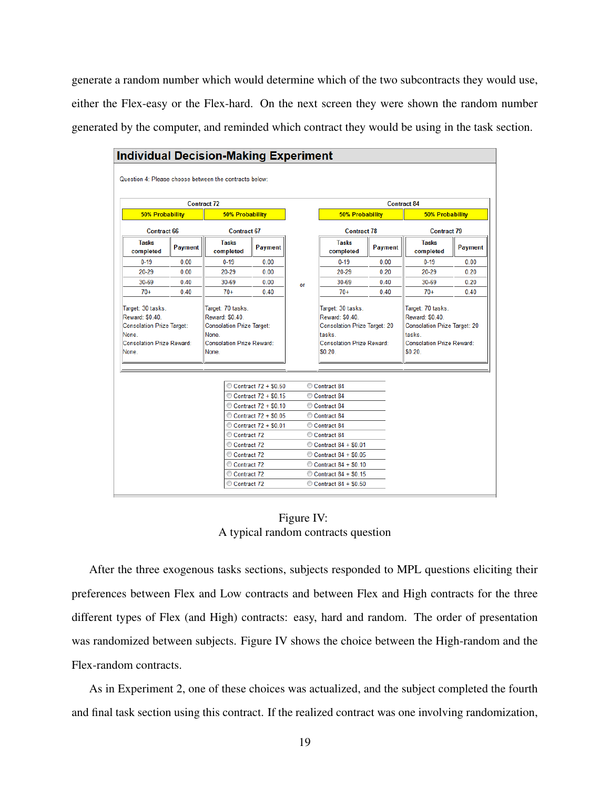generate a random number which would determine which of the two subcontracts they would use, either the Flex-easy or the Flex-hard. On the next screen they were shown the random number generated by the computer, and reminded which contract they would be using in the task section.

|                                                                                        |                | <b>Contract 72</b>                                                                     |                      |    |                                                                                              |                | <b>Contract 84</b>                                                                           |         |
|----------------------------------------------------------------------------------------|----------------|----------------------------------------------------------------------------------------|----------------------|----|----------------------------------------------------------------------------------------------|----------------|----------------------------------------------------------------------------------------------|---------|
| <b>50% Probability</b>                                                                 |                | <b>50% Probability</b>                                                                 |                      |    | <b>50% Probability</b>                                                                       |                | <b>50% Probability</b>                                                                       |         |
| <b>Contract 66</b>                                                                     |                | <b>Contract 67</b>                                                                     |                      |    | <b>Contract 78</b>                                                                           |                | <b>Contract 79</b>                                                                           |         |
| <b>Tasks</b><br>completed                                                              | <b>Payment</b> | <b>Tasks</b><br>completed                                                              | <b>Payment</b>       |    | <b>Tasks</b><br>completed                                                                    | <b>Payment</b> | <b>Tasks</b><br>completed                                                                    | Payment |
| $0 - 19$                                                                               | 0.00           | $0 - 19$                                                                               | 0.00                 |    | $0 - 19$                                                                                     | 0.00           | $0 - 19$                                                                                     | 0.00    |
| 20-29                                                                                  | 0.00           | 20-29                                                                                  | 0.00                 |    | 20-29                                                                                        | 0.20           | 20-29                                                                                        | 0.20    |
| 30-69                                                                                  | 0.40           | 30-69                                                                                  | 0.00                 | or | $30 - 69$                                                                                    | 0.40           | $30 - 69$                                                                                    | 0.20    |
| $70+$                                                                                  | 0.40           | $70+$                                                                                  | 0.40                 |    | $70+$                                                                                        | 0.40           | $70+$                                                                                        | 0.40    |
| <b>Consolation Prize Target:</b><br>None.<br><b>Consolation Prize Reward:</b><br>None. |                | <b>Consolation Prize Target:</b><br>None.<br><b>Consolation Prize Reward:</b><br>None. |                      |    | <b>Consolation Prize Target: 20</b><br>tasks.<br><b>Consolation Prize Reward:</b><br>\$0.20. |                | <b>Consolation Prize Target: 20</b><br>tasks.<br><b>Consolation Prize Reward:</b><br>\$0.20. |         |
|                                                                                        |                |                                                                                        |                      |    |                                                                                              |                |                                                                                              |         |
|                                                                                        |                |                                                                                        | Contract 72 + \$0.50 |    | Contract 84                                                                                  |                |                                                                                              |         |
|                                                                                        |                |                                                                                        | Contract 72 + \$0.15 |    | Contract 84                                                                                  |                |                                                                                              |         |
|                                                                                        |                |                                                                                        | Contract 72 + \$0.10 |    | Contract 84                                                                                  |                |                                                                                              |         |
|                                                                                        |                |                                                                                        | Contract 72 + \$0.05 |    | Contract 84                                                                                  |                |                                                                                              |         |
|                                                                                        |                |                                                                                        | Contract 72 + \$0.01 |    | Contract 84                                                                                  |                |                                                                                              |         |
|                                                                                        |                | Contract 72                                                                            |                      |    | Contract 84                                                                                  |                |                                                                                              |         |
|                                                                                        |                | Contract 72<br>Contract 72                                                             |                      |    | Contract 84 + \$0.01                                                                         |                |                                                                                              |         |
|                                                                                        |                | Contract 72                                                                            |                      |    | Contract 84 + \$0.05<br>Contract 84 + \$0.10                                                 |                |                                                                                              |         |
|                                                                                        |                | Contract 72                                                                            |                      |    | Contract 84 + \$0.15                                                                         |                |                                                                                              |         |

Figure IV: A typical random contracts question

After the three exogenous tasks sections, subjects responded to MPL questions eliciting their preferences between Flex and Low contracts and between Flex and High contracts for the three different types of Flex (and High) contracts: easy, hard and random. The order of presentation was randomized between subjects. Figure IV shows the choice between the High-random and the Flex-random contracts.

As in Experiment 2, one of these choices was actualized, and the subject completed the fourth and final task section using this contract. If the realized contract was one involving randomization,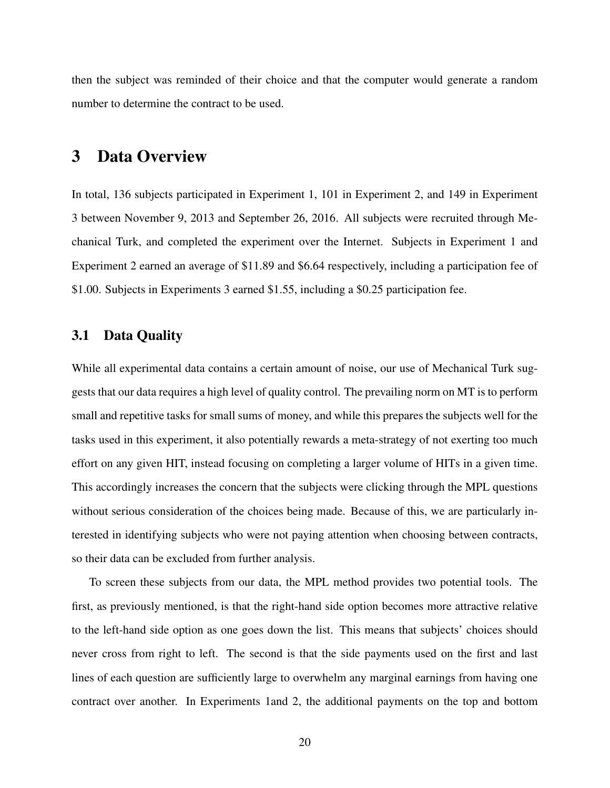then the subject was reminded of their choice and that the computer would generate a random number to determine the contract to be used.

# 3 Data Overview

In total, 136 subjects participated in Experiment 1, 101 in Experiment 2, and 149 in Experiment 3 between November 9, 2013 and September 26, 2016. All subjects were recruited through Mechanical Turk, and completed the experiment over the Internet. Subjects in Experiment 1 and Experiment 2 earned an average of \$11.89 and \$6.64 respectively, including a participation fee of \$1.00. Subjects in Experiments 3 earned \$1.55, including a \$0.25 participation fee.

### 3.1 Data Quality

While all experimental data contains a certain amount of noise, our use of Mechanical Turk suggests that our data requires a high level of quality control. The prevailing norm on MT is to perform small and repetitive tasks for small sums of money, and while this prepares the subjects well for the tasks used in this experiment, it also potentially rewards a meta-strategy of not exerting too much effort on any given HIT, instead focusing on completing a larger volume of HITs in a given time. This accordingly increases the concern that the subjects were clicking through the MPL questions without serious consideration of the choices being made. Because of this, we are particularly interested in identifying subjects who were not paying attention when choosing between contracts, so their data can be excluded from further analysis.

To screen these subjects from our data, the MPL method provides two potential tools. The first, as previously mentioned, is that the right-hand side option becomes more attractive relative to the left-hand side option as one goes down the list. This means that subjects' choices should never cross from right to left. The second is that the side payments used on the first and last lines of each question are sufficiently large to overwhelm any marginal earnings from having one contract over another. In Experiments 1and 2, the additional payments on the top and bottom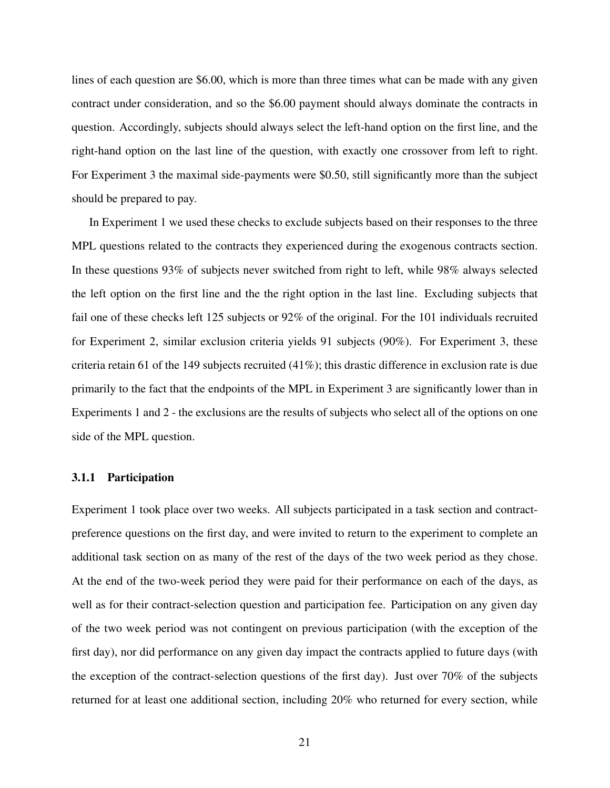lines of each question are \$6.00, which is more than three times what can be made with any given contract under consideration, and so the \$6.00 payment should always dominate the contracts in question. Accordingly, subjects should always select the left-hand option on the first line, and the right-hand option on the last line of the question, with exactly one crossover from left to right. For Experiment 3 the maximal side-payments were \$0.50, still significantly more than the subject should be prepared to pay.

In Experiment 1 we used these checks to exclude subjects based on their responses to the three MPL questions related to the contracts they experienced during the exogenous contracts section. In these questions 93% of subjects never switched from right to left, while 98% always selected the left option on the first line and the the right option in the last line. Excluding subjects that fail one of these checks left 125 subjects or 92% of the original. For the 101 individuals recruited for Experiment 2, similar exclusion criteria yields 91 subjects (90%). For Experiment 3, these criteria retain 61 of the 149 subjects recruited  $(41\%)$ ; this drastic difference in exclusion rate is due primarily to the fact that the endpoints of the MPL in Experiment 3 are significantly lower than in Experiments 1 and 2 - the exclusions are the results of subjects who select all of the options on one side of the MPL question.

#### 3.1.1 Participation

Experiment 1 took place over two weeks. All subjects participated in a task section and contractpreference questions on the first day, and were invited to return to the experiment to complete an additional task section on as many of the rest of the days of the two week period as they chose. At the end of the two-week period they were paid for their performance on each of the days, as well as for their contract-selection question and participation fee. Participation on any given day of the two week period was not contingent on previous participation (with the exception of the first day), nor did performance on any given day impact the contracts applied to future days (with the exception of the contract-selection questions of the first day). Just over 70% of the subjects returned for at least one additional section, including 20% who returned for every section, while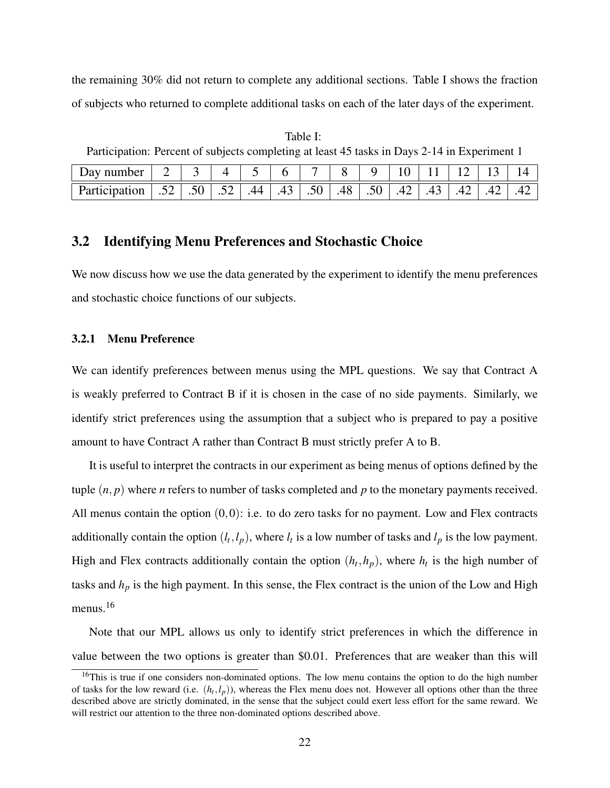the remaining 30% did not return to complete any additional sections. Table I shows the fraction of subjects who returned to complete additional tasks on each of the later days of the experiment.

Day number 2 3 4 5 6 7 8 9 10 11 12 13 14 Participation 52 .50 .52 .44 .43 .50 .48 .50 .48 .50 .42 .43 .42 .42 .42

Table I: Participation: Percent of subjects completing at least 45 tasks in Days 2-14 in Experiment 1

### 3.2 Identifying Menu Preferences and Stochastic Choice

We now discuss how we use the data generated by the experiment to identify the menu preferences and stochastic choice functions of our subjects.

#### 3.2.1 Menu Preference

We can identify preferences between menus using the MPL questions. We say that Contract A is weakly preferred to Contract B if it is chosen in the case of no side payments. Similarly, we identify strict preferences using the assumption that a subject who is prepared to pay a positive amount to have Contract A rather than Contract B must strictly prefer A to B.

It is useful to interpret the contracts in our experiment as being menus of options defined by the tuple  $(n, p)$  where *n* refers to number of tasks completed and *p* to the monetary payments received. All menus contain the option  $(0,0)$ : i.e. to do zero tasks for no payment. Low and Flex contracts additionally contain the option  $(l_t, l_p)$ , where  $l_t$  is a low number of tasks and  $l_p$  is the low payment. High and Flex contracts additionally contain the option  $(h_t, h_p)$ , where  $h_t$  is the high number of tasks and  $h_p$  is the high payment. In this sense, the Flex contract is the union of the Low and High menus.<sup>16</sup>

Note that our MPL allows us only to identify strict preferences in which the difference in value between the two options is greater than \$0.01. Preferences that are weaker than this will

<sup>&</sup>lt;sup>16</sup>This is true if one considers non-dominated options. The low menu contains the option to do the high number of tasks for the low reward (i.e.  $(h_t, l_p)$ ), whereas the Flex menu does not. However all options other than the three described above are strictly dominated, in the sense that the subject could exert less effort for the same reward. We will restrict our attention to the three non-dominated options described above.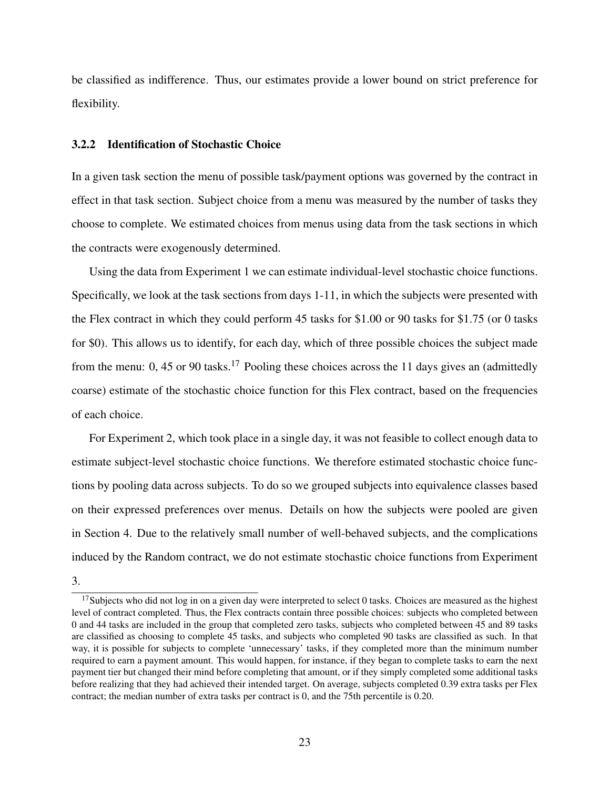be classified as indifference. Thus, our estimates provide a lower bound on strict preference for flexibility.

#### 3.2.2 Identification of Stochastic Choice

In a given task section the menu of possible task/payment options was governed by the contract in effect in that task section. Subject choice from a menu was measured by the number of tasks they choose to complete. We estimated choices from menus using data from the task sections in which the contracts were exogenously determined.

Using the data from Experiment 1 we can estimate individual-level stochastic choice functions. Specifically, we look at the task sections from days 1-11, in which the subjects were presented with the Flex contract in which they could perform 45 tasks for \$1.00 or 90 tasks for \$1.75 (or 0 tasks for \$0). This allows us to identify, for each day, which of three possible choices the subject made from the menu: 0, 45 or 90 tasks.<sup>17</sup> Pooling these choices across the 11 days gives an (admittedly coarse) estimate of the stochastic choice function for this Flex contract, based on the frequencies of each choice.

For Experiment 2, which took place in a single day, it was not feasible to collect enough data to estimate subject-level stochastic choice functions. We therefore estimated stochastic choice functions by pooling data across subjects. To do so we grouped subjects into equivalence classes based on their expressed preferences over menus. Details on how the subjects were pooled are given in Section 4. Due to the relatively small number of well-behaved subjects, and the complications induced by the Random contract, we do not estimate stochastic choice functions from Experiment

3.

 $17$ Subjects who did not log in on a given day were interpreted to select 0 tasks. Choices are measured as the highest level of contract completed. Thus, the Flex contracts contain three possible choices: subjects who completed between 0 and 44 tasks are included in the group that completed zero tasks, subjects who completed between 45 and 89 tasks are classified as choosing to complete 45 tasks, and subjects who completed 90 tasks are classified as such. In that way, it is possible for subjects to complete 'unnecessary' tasks, if they completed more than the minimum number required to earn a payment amount. This would happen, for instance, if they began to complete tasks to earn the next payment tier but changed their mind before completing that amount, or if they simply completed some additional tasks before realizing that they had achieved their intended target. On average, subjects completed 0.39 extra tasks per Flex contract; the median number of extra tasks per contract is 0, and the 75th percentile is 0.20.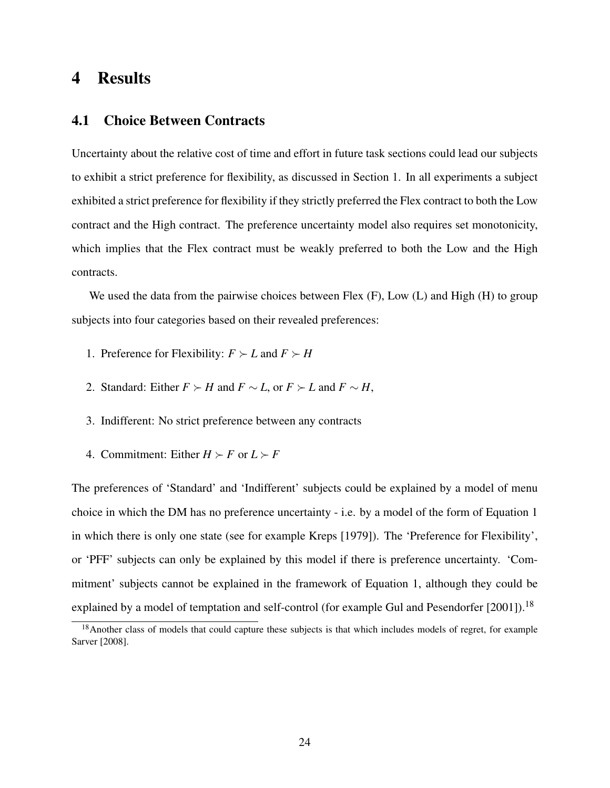# 4 Results

### 4.1 Choice Between Contracts

Uncertainty about the relative cost of time and effort in future task sections could lead our subjects to exhibit a strict preference for flexibility, as discussed in Section 1. In all experiments a subject exhibited a strict preference for flexibility if they strictly preferred the Flex contract to both the Low contract and the High contract. The preference uncertainty model also requires set monotonicity, which implies that the Flex contract must be weakly preferred to both the Low and the High contracts.

We used the data from the pairwise choices between Flex  $(F)$ , Low  $(L)$  and High  $(H)$  to group subjects into four categories based on their revealed preferences:

- 1. Preference for Flexibility:  $F \succ L$  and  $F \succ H$
- 2. Standard: Either  $F \succ H$  and  $F \sim L$ , or  $F \succ L$  and  $F \sim H$ ,
- 3. Indifferent: No strict preference between any contracts
- 4. Commitment: Either  $H \succ F$  or  $L \succ F$

The preferences of 'Standard' and 'Indifferent' subjects could be explained by a model of menu choice in which the DM has no preference uncertainty - i.e. by a model of the form of Equation 1 in which there is only one state (see for example Kreps [1979]). The 'Preference for Flexibility', or 'PFF' subjects can only be explained by this model if there is preference uncertainty. 'Commitment' subjects cannot be explained in the framework of Equation 1, although they could be explained by a model of temptation and self-control (for example Gul and Pesendorfer [2001]).<sup>18</sup>

<sup>&</sup>lt;sup>18</sup> Another class of models that could capture these subjects is that which includes models of regret, for example Sarver [2008].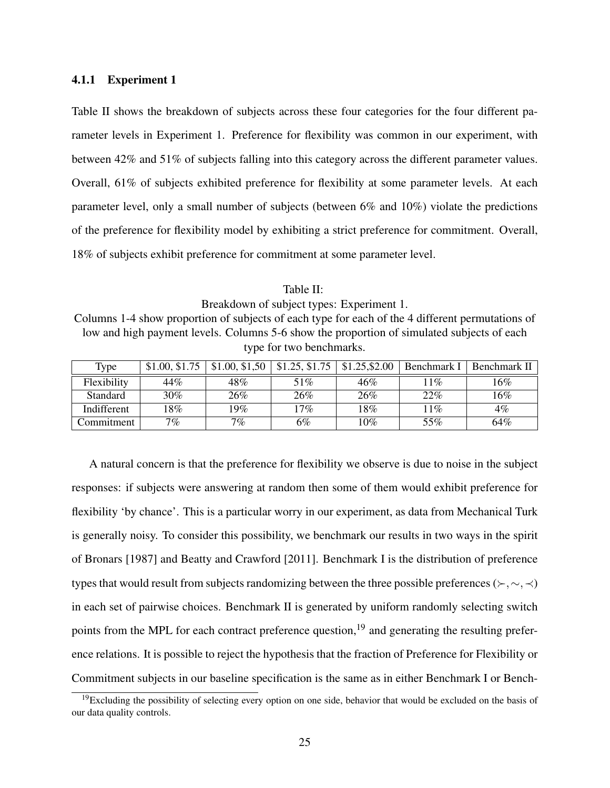#### 4.1.1 Experiment 1

Table II shows the breakdown of subjects across these four categories for the four different parameter levels in Experiment 1. Preference for flexibility was common in our experiment, with between 42% and 51% of subjects falling into this category across the different parameter values. Overall, 61% of subjects exhibited preference for flexibility at some parameter levels. At each parameter level, only a small number of subjects (between 6% and 10%) violate the predictions of the preference for flexibility model by exhibiting a strict preference for commitment. Overall, 18% of subjects exhibit preference for commitment at some parameter level.

Table II: Breakdown of subject types: Experiment 1. Columns 1-4 show proportion of subjects of each type for each of the 4 different permutations of low and high payment levels. Columns 5-6 show the proportion of simulated subjects of each type for two benchmarks.

| Type            | \$1.00, \$1.75 | \$1.00, \$1.50 | \$1.25, \$1.75 | \$1.25, \$2.00 | Benchmark I | Benchmark II |
|-----------------|----------------|----------------|----------------|----------------|-------------|--------------|
| Flexibility     | 44%            | 48%            | 51%            | 46%            | 11%         | 16%          |
| <b>Standard</b> | 30%            | 26%            | 26%            | 26%            | 22%         | 16%          |
| Indifferent     | 18%            | 19%            | 17%            | 18%            | 11%         | $4\%$        |
| Commitment      | 7 $\%$         | $7\%$          | 6%             | $10\%$         | 55%         | 64%          |

A natural concern is that the preference for flexibility we observe is due to noise in the subject responses: if subjects were answering at random then some of them would exhibit preference for flexibility 'by chance'. This is a particular worry in our experiment, as data from Mechanical Turk is generally noisy. To consider this possibility, we benchmark our results in two ways in the spirit of Bronars [1987] and Beatty and Crawford [2011]. Benchmark I is the distribution of preference types that would result from subjects randomizing between the three possible preferences ( $\succ, \sim, \prec$ ) in each set of pairwise choices. Benchmark II is generated by uniform randomly selecting switch points from the MPL for each contract preference question,<sup>19</sup> and generating the resulting preference relations. It is possible to reject the hypothesis that the fraction of Preference for Flexibility or Commitment subjects in our baseline specification is the same as in either Benchmark I or Bench-

 $19$ Excluding the possibility of selecting every option on one side, behavior that would be excluded on the basis of our data quality controls.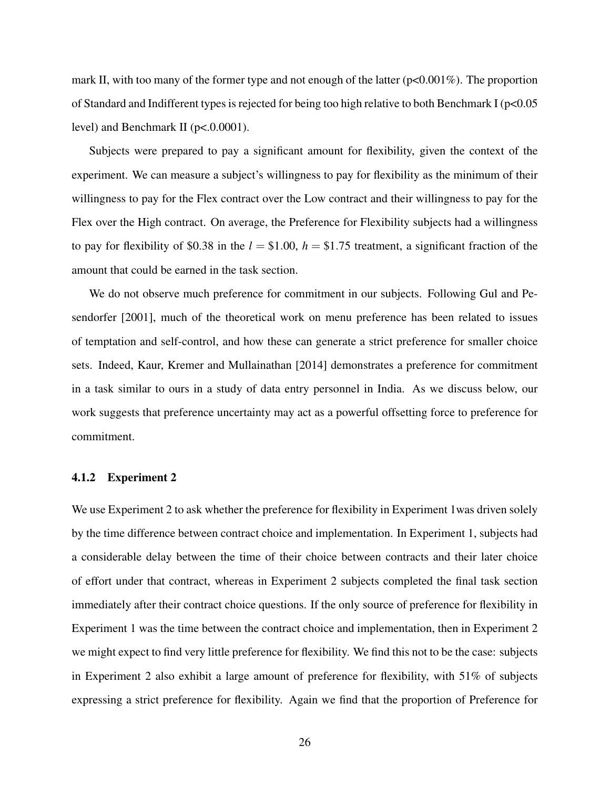mark II, with too many of the former type and not enough of the latter  $(p<0.001\%)$ . The proportion of Standard and Indifferent types is rejected for being too high relative to both Benchmark I (p<0.05 level) and Benchmark II ( $p < .0.0001$ ).

Subjects were prepared to pay a significant amount for flexibility, given the context of the experiment. We can measure a subject's willingness to pay for flexibility as the minimum of their willingness to pay for the Flex contract over the Low contract and their willingness to pay for the Flex over the High contract. On average, the Preference for Flexibility subjects had a willingness to pay for flexibility of \$0.38 in the  $l = $1.00$ ,  $h = $1.75$  treatment, a significant fraction of the amount that could be earned in the task section.

We do not observe much preference for commitment in our subjects. Following Gul and Pesendorfer [2001], much of the theoretical work on menu preference has been related to issues of temptation and self-control, and how these can generate a strict preference for smaller choice sets. Indeed, Kaur, Kremer and Mullainathan [2014] demonstrates a preference for commitment in a task similar to ours in a study of data entry personnel in India. As we discuss below, our work suggests that preference uncertainty may act as a powerful offsetting force to preference for commitment.

#### 4.1.2 Experiment 2

We use Experiment 2 to ask whether the preference for flexibility in Experiment 1 was driven solely by the time difference between contract choice and implementation. In Experiment 1, subjects had a considerable delay between the time of their choice between contracts and their later choice of effort under that contract, whereas in Experiment 2 subjects completed the final task section immediately after their contract choice questions. If the only source of preference for flexibility in Experiment 1 was the time between the contract choice and implementation, then in Experiment 2 we might expect to find very little preference for flexibility. We find this not to be the case: subjects in Experiment 2 also exhibit a large amount of preference for flexibility, with 51% of subjects expressing a strict preference for flexibility. Again we find that the proportion of Preference for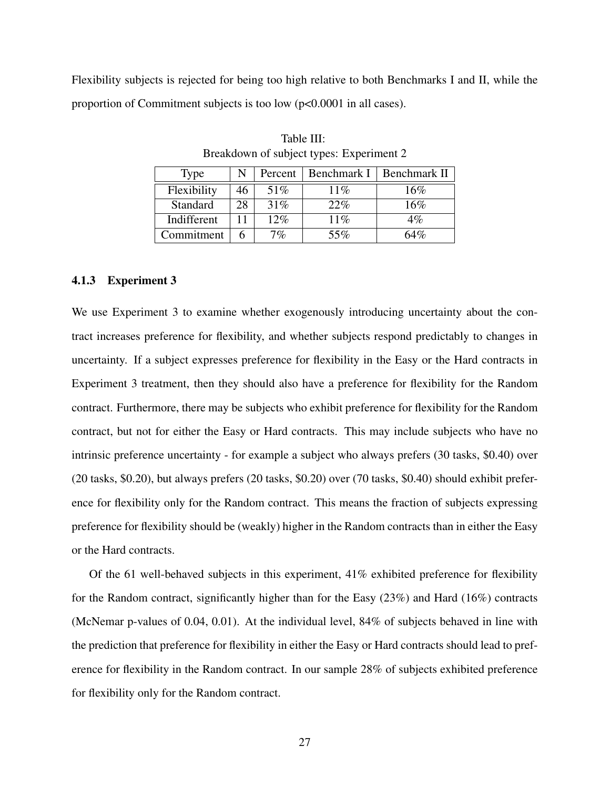Flexibility subjects is rejected for being too high relative to both Benchmarks I and II, while the proportion of Commitment subjects is too low (p<0.0001 in all cases).

| Type        |    | Percent | Benchmark I | Benchmark II |
|-------------|----|---------|-------------|--------------|
| Flexibility | 46 | 51%     | $11\%$      | 16%          |
| Standard    | 28 | 31%     | 22%         | 16%          |
| Indifferent |    | 12%     | 11%         | $4\%$        |
| Commitment  |    | $7\%$   | 55%         | 64%          |

Table III: Breakdown of subject types: Experiment 2

#### 4.1.3 Experiment 3

We use Experiment 3 to examine whether exogenously introducing uncertainty about the contract increases preference for flexibility, and whether subjects respond predictably to changes in uncertainty. If a subject expresses preference for flexibility in the Easy or the Hard contracts in Experiment 3 treatment, then they should also have a preference for flexibility for the Random contract. Furthermore, there may be subjects who exhibit preference for flexibility for the Random contract, but not for either the Easy or Hard contracts. This may include subjects who have no intrinsic preference uncertainty - for example a subject who always prefers (30 tasks, \$0.40) over (20 tasks, \$0.20), but always prefers (20 tasks, \$0.20) over (70 tasks, \$0.40) should exhibit preference for flexibility only for the Random contract. This means the fraction of subjects expressing preference for flexibility should be (weakly) higher in the Random contracts than in either the Easy or the Hard contracts.

Of the 61 well-behaved subjects in this experiment, 41% exhibited preference for flexibility for the Random contract, significantly higher than for the Easy (23%) and Hard (16%) contracts (McNemar p-values of 0.04, 0.01). At the individual level, 84% of subjects behaved in line with the prediction that preference for flexibility in either the Easy or Hard contracts should lead to preference for flexibility in the Random contract. In our sample 28% of subjects exhibited preference for flexibility only for the Random contract.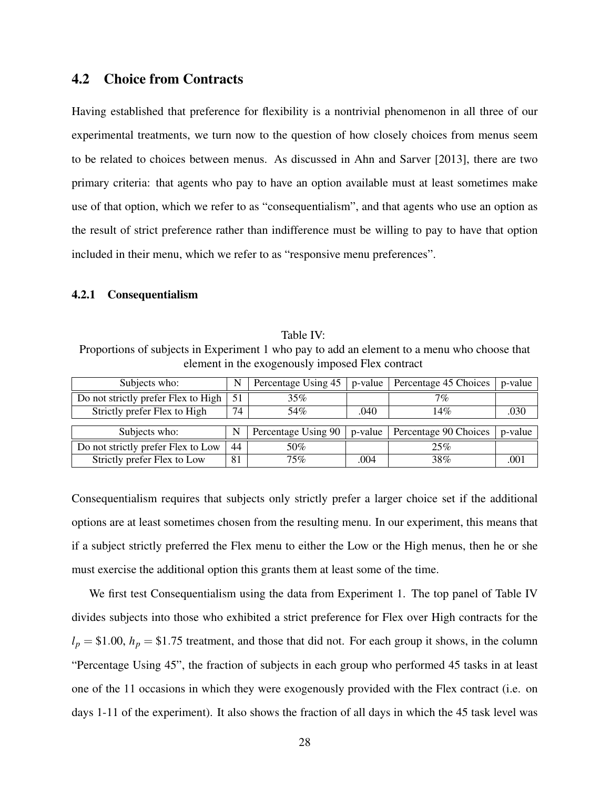### 4.2 Choice from Contracts

Having established that preference for flexibility is a nontrivial phenomenon in all three of our experimental treatments, we turn now to the question of how closely choices from menus seem to be related to choices between menus. As discussed in Ahn and Sarver [2013], there are two primary criteria: that agents who pay to have an option available must at least sometimes make use of that option, which we refer to as "consequentialism", and that agents who use an option as the result of strict preference rather than indifference must be willing to pay to have that option included in their menu, which we refer to as "responsive menu preferences".

#### 4.2.1 Consequentialism

Table IV: Proportions of subjects in Experiment 1 who pay to add an element to a menu who choose that element in the exogenously imposed Flex contract

| Subjects who:                       | N  | Percentage Using 45 | p-value | Percentage 45 Choices | p-value |
|-------------------------------------|----|---------------------|---------|-----------------------|---------|
| Do not strictly prefer Flex to High | 51 | 35%                 |         | $7\%$                 |         |
| Strictly prefer Flex to High        | 74 | 54%                 | .040    | 14%                   | .030    |
|                                     |    |                     |         |                       |         |
| Subjects who:                       | N  | Percentage Using 90 | p-value | Percentage 90 Choices | p-value |
| Do not strictly prefer Flex to Low  | 44 | 50%                 |         | 25%                   |         |
| Strictly prefer Flex to Low         | 81 | 75%                 | .004    | 38%                   |         |

Consequentialism requires that subjects only strictly prefer a larger choice set if the additional options are at least sometimes chosen from the resulting menu. In our experiment, this means that if a subject strictly preferred the Flex menu to either the Low or the High menus, then he or she must exercise the additional option this grants them at least some of the time.

We first test Consequentialism using the data from Experiment 1. The top panel of Table IV divides subjects into those who exhibited a strict preference for Flex over High contracts for the  $l_p = $1.00$ ,  $h_p = $1.75$  treatment, and those that did not. For each group it shows, in the column "Percentage Using 45", the fraction of subjects in each group who performed 45 tasks in at least one of the 11 occasions in which they were exogenously provided with the Flex contract (i.e. on days 1-11 of the experiment). It also shows the fraction of all days in which the 45 task level was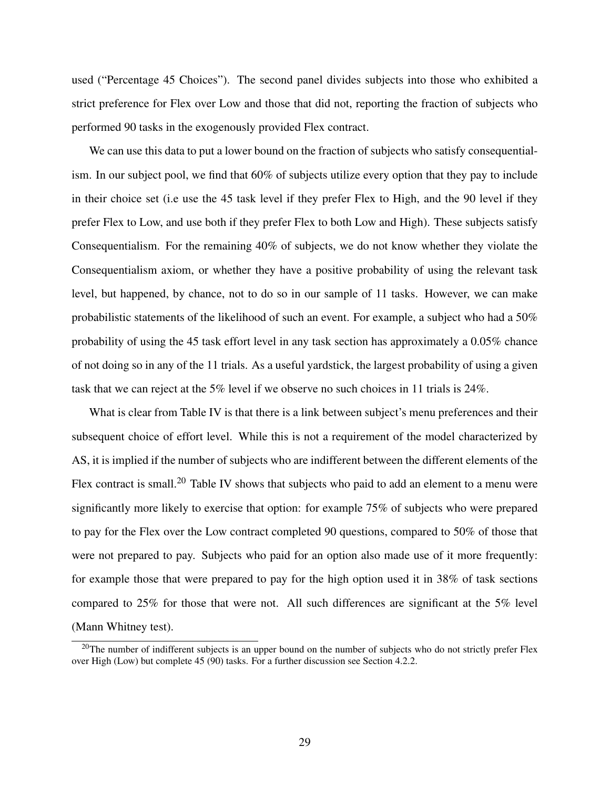used ("Percentage 45 Choices"). The second panel divides subjects into those who exhibited a strict preference for Flex over Low and those that did not, reporting the fraction of subjects who performed 90 tasks in the exogenously provided Flex contract.

We can use this data to put a lower bound on the fraction of subjects who satisfy consequentialism. In our subject pool, we find that 60% of subjects utilize every option that they pay to include in their choice set (i.e use the 45 task level if they prefer Flex to High, and the 90 level if they prefer Flex to Low, and use both if they prefer Flex to both Low and High). These subjects satisfy Consequentialism. For the remaining 40% of subjects, we do not know whether they violate the Consequentialism axiom, or whether they have a positive probability of using the relevant task level, but happened, by chance, not to do so in our sample of 11 tasks. However, we can make probabilistic statements of the likelihood of such an event. For example, a subject who had a 50% probability of using the 45 task effort level in any task section has approximately a 0.05% chance of not doing so in any of the 11 trials. As a useful yardstick, the largest probability of using a given task that we can reject at the 5% level if we observe no such choices in 11 trials is 24%.

What is clear from Table IV is that there is a link between subject's menu preferences and their subsequent choice of effort level. While this is not a requirement of the model characterized by AS, it is implied if the number of subjects who are indifferent between the different elements of the Flex contract is small.<sup>20</sup> Table IV shows that subjects who paid to add an element to a menu were significantly more likely to exercise that option: for example 75% of subjects who were prepared to pay for the Flex over the Low contract completed 90 questions, compared to 50% of those that were not prepared to pay. Subjects who paid for an option also made use of it more frequently: for example those that were prepared to pay for the high option used it in 38% of task sections compared to 25% for those that were not. All such differences are significant at the 5% level (Mann Whitney test).

<sup>&</sup>lt;sup>20</sup>The number of indifferent subjects is an upper bound on the number of subjects who do not strictly prefer Flex over High (Low) but complete 45 (90) tasks. For a further discussion see Section 4.2.2.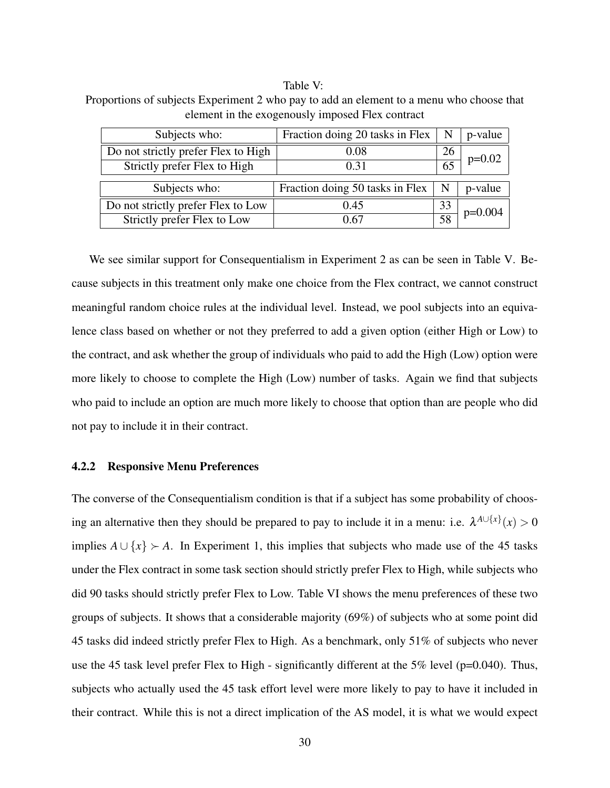#### Table V:

Proportions of subjects Experiment 2 who pay to add an element to a menu who choose that element in the exogenously imposed Flex contract

| Subjects who:                       | Fraction doing 20 tasks in Flex | $\mathbf N$     | p-value                |
|-------------------------------------|---------------------------------|-----------------|------------------------|
| Do not strictly prefer Flex to High | $0.08\,$                        | 26              |                        |
| Strictly prefer Flex to High        | 0.31                            | $\overline{65}$ | $p=0.02$               |
|                                     |                                 |                 |                        |
| Subjects who:                       | Fraction doing 50 tasks in Flex | $\mathbf N$     | p-value                |
| Do not strictly prefer Flex to Low  | 0.45                            | 33              |                        |
| Strictly prefer Flex to Low         | 0.67                            |                 | $\frac{1}{58}$ p=0.004 |

We see similar support for Consequentialism in Experiment 2 as can be seen in Table V. Because subjects in this treatment only make one choice from the Flex contract, we cannot construct meaningful random choice rules at the individual level. Instead, we pool subjects into an equivalence class based on whether or not they preferred to add a given option (either High or Low) to the contract, and ask whether the group of individuals who paid to add the High (Low) option were more likely to choose to complete the High (Low) number of tasks. Again we find that subjects who paid to include an option are much more likely to choose that option than are people who did not pay to include it in their contract.

#### 4.2.2 Responsive Menu Preferences

The converse of the Consequentialism condition is that if a subject has some probability of choosing an alternative then they should be prepared to pay to include it in a menu: i.e.  $\lambda^{A\cup\{x\}}(x) > 0$ implies  $A \cup \{x\}$  ≻ A. In Experiment 1, this implies that subjects who made use of the 45 tasks under the Flex contract in some task section should strictly prefer Flex to High, while subjects who did 90 tasks should strictly prefer Flex to Low. Table VI shows the menu preferences of these two groups of subjects. It shows that a considerable majority (69%) of subjects who at some point did 45 tasks did indeed strictly prefer Flex to High. As a benchmark, only 51% of subjects who never use the 45 task level prefer Flex to High - significantly different at the  $5\%$  level (p=0.040). Thus, subjects who actually used the 45 task effort level were more likely to pay to have it included in their contract. While this is not a direct implication of the AS model, it is what we would expect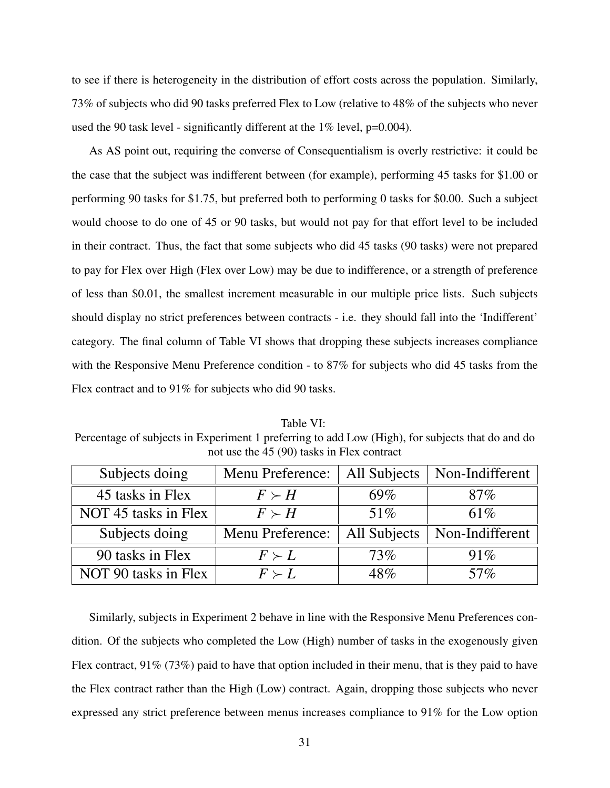to see if there is heterogeneity in the distribution of effort costs across the population. Similarly, 73% of subjects who did 90 tasks preferred Flex to Low (relative to 48% of the subjects who never used the 90 task level - significantly different at the 1% level, p=0.004).

As AS point out, requiring the converse of Consequentialism is overly restrictive: it could be the case that the subject was indifferent between (for example), performing 45 tasks for \$1.00 or performing 90 tasks for \$1.75, but preferred both to performing 0 tasks for \$0.00. Such a subject would choose to do one of 45 or 90 tasks, but would not pay for that effort level to be included in their contract. Thus, the fact that some subjects who did 45 tasks (90 tasks) were not prepared to pay for Flex over High (Flex over Low) may be due to indifference, or a strength of preference of less than \$0.01, the smallest increment measurable in our multiple price lists. Such subjects should display no strict preferences between contracts - i.e. they should fall into the 'Indifferent' category. The final column of Table VI shows that dropping these subjects increases compliance with the Responsive Menu Preference condition - to 87% for subjects who did 45 tasks from the Flex contract and to 91% for subjects who did 90 tasks.

Table VI: Percentage of subjects in Experiment 1 preferring to add Low (High), for subjects that do and do not use the 45 (90) tasks in Flex contract

| Subjects doing       | Menu Preference: | All Subjects | Non-Indifferent |
|----------------------|------------------|--------------|-----------------|
| 45 tasks in Flex     | $F \succ H$      | 69%          | $87\%$          |
| NOT 45 tasks in Flex | $F \succ H$      | 51%          | 61%             |
| Subjects doing       | Menu Preference: | All Subjects | Non-Indifferent |
| 90 tasks in Flex     | $F \succ L$      | 73%          | 91%             |
| NOT 90 tasks in Flex | $F \succ L$      | 48%          | $57\%$          |

Similarly, subjects in Experiment 2 behave in line with the Responsive Menu Preferences condition. Of the subjects who completed the Low (High) number of tasks in the exogenously given Flex contract,  $91\%$  (73%) paid to have that option included in their menu, that is they paid to have the Flex contract rather than the High (Low) contract. Again, dropping those subjects who never expressed any strict preference between menus increases compliance to 91% for the Low option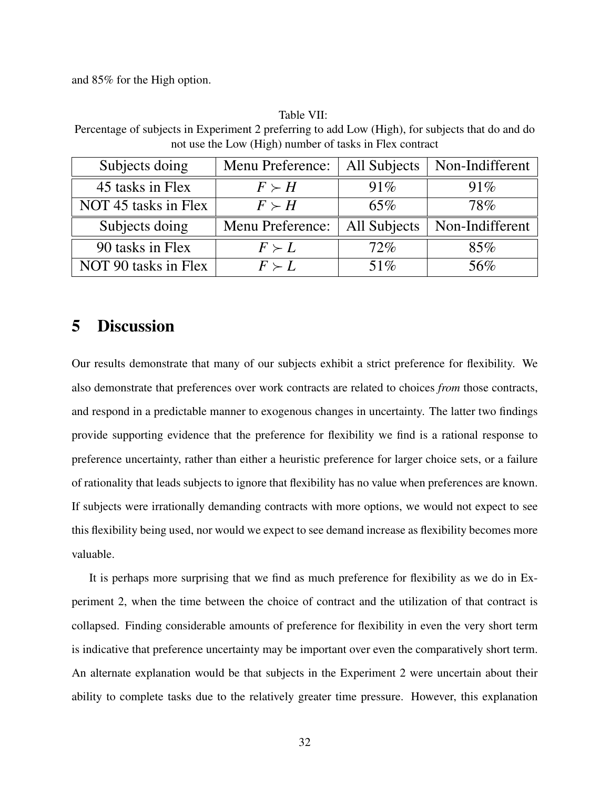and 85% for the High option.

#### Table VII:

Percentage of subjects in Experiment 2 preferring to add Low (High), for subjects that do and do not use the Low (High) number of tasks in Flex contract

| Subjects doing       | Menu Preference: | All Subjects | Non-Indifferent |
|----------------------|------------------|--------------|-----------------|
| 45 tasks in Flex     | $F \succ H$      | 91%          | 91%             |
| NOT 45 tasks in Flex | $F \succ H$      | 65%          | 78%             |
| Subjects doing       | Menu Preference: | All Subjects | Non-Indifferent |
| 90 tasks in Flex     | $F \succ L$      | 72%          | 85%             |
| NOT 90 tasks in Flex | $F \succ L$      | 51%          | 56%             |

# 5 Discussion

Our results demonstrate that many of our subjects exhibit a strict preference for flexibility. We also demonstrate that preferences over work contracts are related to choices *from* those contracts, and respond in a predictable manner to exogenous changes in uncertainty. The latter two findings provide supporting evidence that the preference for flexibility we find is a rational response to preference uncertainty, rather than either a heuristic preference for larger choice sets, or a failure of rationality that leads subjects to ignore that flexibility has no value when preferences are known. If subjects were irrationally demanding contracts with more options, we would not expect to see this flexibility being used, nor would we expect to see demand increase as flexibility becomes more valuable.

It is perhaps more surprising that we find as much preference for flexibility as we do in Experiment 2, when the time between the choice of contract and the utilization of that contract is collapsed. Finding considerable amounts of preference for flexibility in even the very short term is indicative that preference uncertainty may be important over even the comparatively short term. An alternate explanation would be that subjects in the Experiment 2 were uncertain about their ability to complete tasks due to the relatively greater time pressure. However, this explanation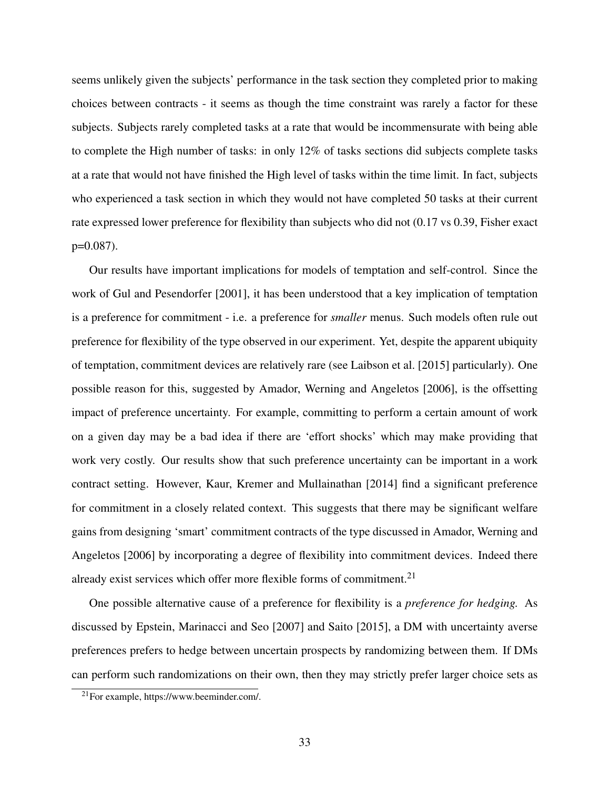seems unlikely given the subjects' performance in the task section they completed prior to making choices between contracts - it seems as though the time constraint was rarely a factor for these subjects. Subjects rarely completed tasks at a rate that would be incommensurate with being able to complete the High number of tasks: in only 12% of tasks sections did subjects complete tasks at a rate that would not have finished the High level of tasks within the time limit. In fact, subjects who experienced a task section in which they would not have completed 50 tasks at their current rate expressed lower preference for flexibility than subjects who did not (0.17 vs 0.39, Fisher exact p=0.087).

Our results have important implications for models of temptation and self-control. Since the work of Gul and Pesendorfer [2001], it has been understood that a key implication of temptation is a preference for commitment - i.e. a preference for *smaller* menus. Such models often rule out preference for flexibility of the type observed in our experiment. Yet, despite the apparent ubiquity of temptation, commitment devices are relatively rare (see Laibson et al. [2015] particularly). One possible reason for this, suggested by Amador, Werning and Angeletos [2006], is the offsetting impact of preference uncertainty. For example, committing to perform a certain amount of work on a given day may be a bad idea if there are 'effort shocks' which may make providing that work very costly. Our results show that such preference uncertainty can be important in a work contract setting. However, Kaur, Kremer and Mullainathan [2014] find a significant preference for commitment in a closely related context. This suggests that there may be significant welfare gains from designing 'smart' commitment contracts of the type discussed in Amador, Werning and Angeletos [2006] by incorporating a degree of flexibility into commitment devices. Indeed there already exist services which offer more flexible forms of commitment.<sup>21</sup>

One possible alternative cause of a preference for flexibility is a *preference for hedging.* As discussed by Epstein, Marinacci and Seo [2007] and Saito [2015], a DM with uncertainty averse preferences prefers to hedge between uncertain prospects by randomizing between them. If DMs can perform such randomizations on their own, then they may strictly prefer larger choice sets as

 $21$ For example, https://www.beeminder.com/.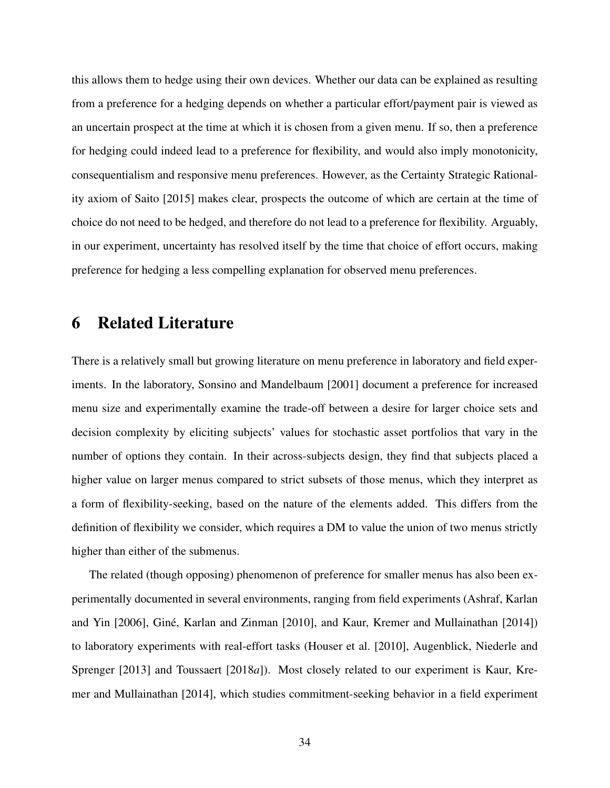this allows them to hedge using their own devices. Whether our data can be explained as resulting from a preference for a hedging depends on whether a particular effort/payment pair is viewed as an uncertain prospect at the time at which it is chosen from a given menu. If so, then a preference for hedging could indeed lead to a preference for flexibility, and would also imply monotonicity, consequentialism and responsive menu preferences. However, as the Certainty Strategic Rationality axiom of Saito [2015] makes clear, prospects the outcome of which are certain at the time of choice do not need to be hedged, and therefore do not lead to a preference for flexibility. Arguably, in our experiment, uncertainty has resolved itself by the time that choice of effort occurs, making preference for hedging a less compelling explanation for observed menu preferences.

# 6 Related Literature

There is a relatively small but growing literature on menu preference in laboratory and field experiments. In the laboratory, Sonsino and Mandelbaum [2001] document a preference for increased menu size and experimentally examine the trade-off between a desire for larger choice sets and decision complexity by eliciting subjects' values for stochastic asset portfolios that vary in the number of options they contain. In their across-subjects design, they find that subjects placed a higher value on larger menus compared to strict subsets of those menus, which they interpret as a form of flexibility-seeking, based on the nature of the elements added. This differs from the definition of flexibility we consider, which requires a DM to value the union of two menus strictly higher than either of the submenus.

The related (though opposing) phenomenon of preference for smaller menus has also been experimentally documented in several environments, ranging from field experiments (Ashraf, Karlan and Yin [2006], Giné, Karlan and Zinman [2010], and Kaur, Kremer and Mullainathan [2014]) to laboratory experiments with real-effort tasks (Houser et al. [2010], Augenblick, Niederle and Sprenger [2013] and Toussaert [2018*a*]). Most closely related to our experiment is Kaur, Kremer and Mullainathan [2014], which studies commitment-seeking behavior in a field experiment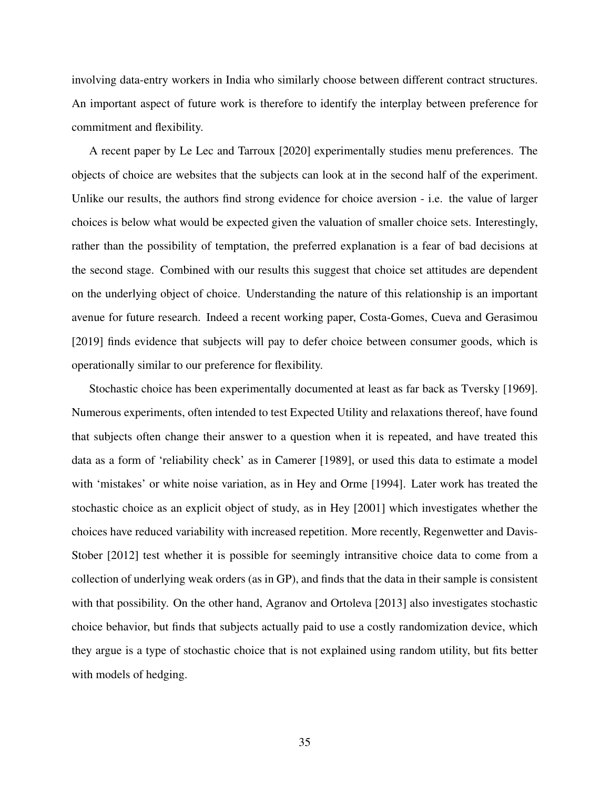involving data-entry workers in India who similarly choose between different contract structures. An important aspect of future work is therefore to identify the interplay between preference for commitment and flexibility.

A recent paper by Le Lec and Tarroux [2020] experimentally studies menu preferences. The objects of choice are websites that the subjects can look at in the second half of the experiment. Unlike our results, the authors find strong evidence for choice aversion - i.e. the value of larger choices is below what would be expected given the valuation of smaller choice sets. Interestingly, rather than the possibility of temptation, the preferred explanation is a fear of bad decisions at the second stage. Combined with our results this suggest that choice set attitudes are dependent on the underlying object of choice. Understanding the nature of this relationship is an important avenue for future research. Indeed a recent working paper, Costa-Gomes, Cueva and Gerasimou [2019] finds evidence that subjects will pay to defer choice between consumer goods, which is operationally similar to our preference for flexibility.

Stochastic choice has been experimentally documented at least as far back as Tversky [1969]. Numerous experiments, often intended to test Expected Utility and relaxations thereof, have found that subjects often change their answer to a question when it is repeated, and have treated this data as a form of 'reliability check' as in Camerer [1989], or used this data to estimate a model with 'mistakes' or white noise variation, as in Hey and Orme [1994]. Later work has treated the stochastic choice as an explicit object of study, as in Hey [2001] which investigates whether the choices have reduced variability with increased repetition. More recently, Regenwetter and Davis-Stober [2012] test whether it is possible for seemingly intransitive choice data to come from a collection of underlying weak orders (as in GP), and finds that the data in their sample is consistent with that possibility. On the other hand, Agranov and Ortoleva [2013] also investigates stochastic choice behavior, but finds that subjects actually paid to use a costly randomization device, which they argue is a type of stochastic choice that is not explained using random utility, but fits better with models of hedging.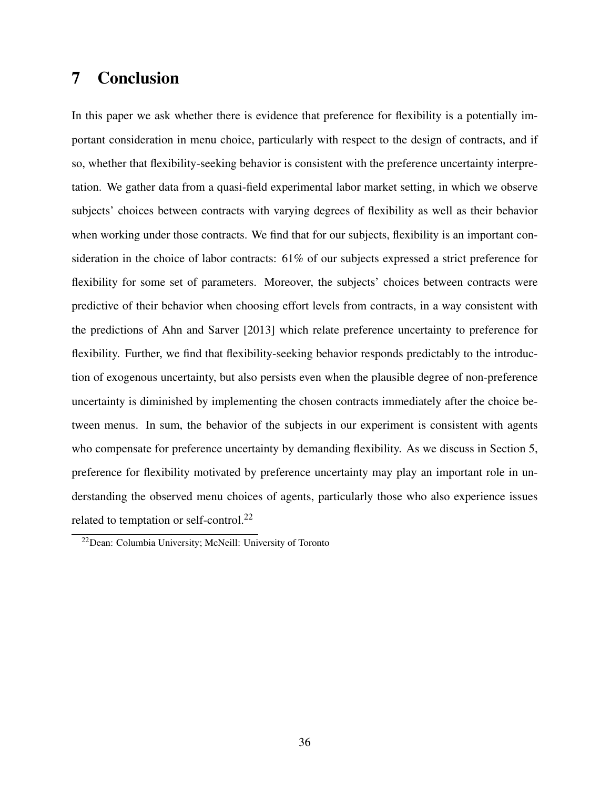# 7 Conclusion

In this paper we ask whether there is evidence that preference for flexibility is a potentially important consideration in menu choice, particularly with respect to the design of contracts, and if so, whether that flexibility-seeking behavior is consistent with the preference uncertainty interpretation. We gather data from a quasi-field experimental labor market setting, in which we observe subjects' choices between contracts with varying degrees of flexibility as well as their behavior when working under those contracts. We find that for our subjects, flexibility is an important consideration in the choice of labor contracts: 61% of our subjects expressed a strict preference for flexibility for some set of parameters. Moreover, the subjects' choices between contracts were predictive of their behavior when choosing effort levels from contracts, in a way consistent with the predictions of Ahn and Sarver [2013] which relate preference uncertainty to preference for flexibility. Further, we find that flexibility-seeking behavior responds predictably to the introduction of exogenous uncertainty, but also persists even when the plausible degree of non-preference uncertainty is diminished by implementing the chosen contracts immediately after the choice between menus. In sum, the behavior of the subjects in our experiment is consistent with agents who compensate for preference uncertainty by demanding flexibility. As we discuss in Section 5, preference for flexibility motivated by preference uncertainty may play an important role in understanding the observed menu choices of agents, particularly those who also experience issues related to temptation or self-control.<sup>22</sup>

<sup>22</sup>Dean: Columbia University; McNeill: University of Toronto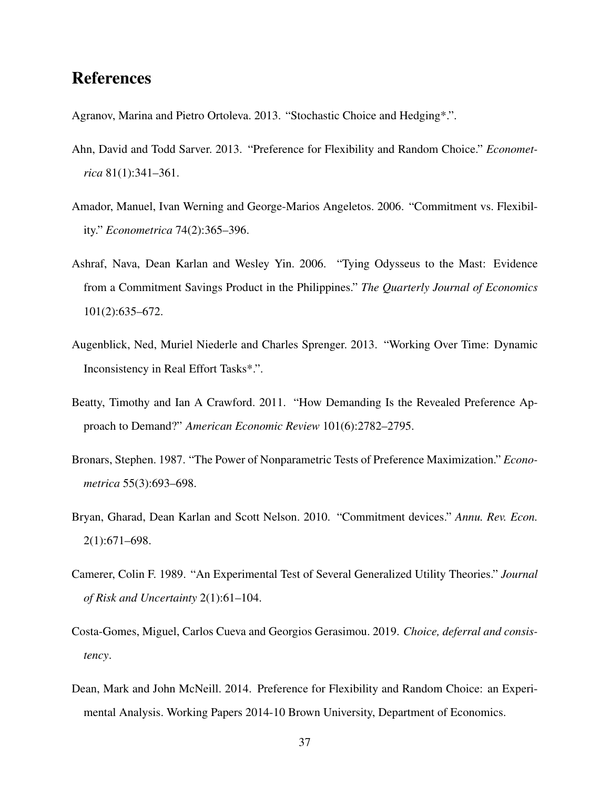# References

Agranov, Marina and Pietro Ortoleva. 2013. "Stochastic Choice and Hedging\*.".

- Ahn, David and Todd Sarver. 2013. "Preference for Flexibility and Random Choice." *Econometrica* 81(1):341–361.
- Amador, Manuel, Ivan Werning and George-Marios Angeletos. 2006. "Commitment vs. Flexibility." *Econometrica* 74(2):365–396.
- Ashraf, Nava, Dean Karlan and Wesley Yin. 2006. "Tying Odysseus to the Mast: Evidence from a Commitment Savings Product in the Philippines." *The Quarterly Journal of Economics* 101(2):635–672.
- Augenblick, Ned, Muriel Niederle and Charles Sprenger. 2013. "Working Over Time: Dynamic Inconsistency in Real Effort Tasks\*.".
- Beatty, Timothy and Ian A Crawford. 2011. "How Demanding Is the Revealed Preference Approach to Demand?" *American Economic Review* 101(6):2782–2795.
- Bronars, Stephen. 1987. "The Power of Nonparametric Tests of Preference Maximization." *Econometrica* 55(3):693–698.
- Bryan, Gharad, Dean Karlan and Scott Nelson. 2010. "Commitment devices." *Annu. Rev. Econ.* 2(1):671–698.
- Camerer, Colin F. 1989. "An Experimental Test of Several Generalized Utility Theories." *Journal of Risk and Uncertainty* 2(1):61–104.
- Costa-Gomes, Miguel, Carlos Cueva and Georgios Gerasimou. 2019. *Choice, deferral and consistency*.
- Dean, Mark and John McNeill. 2014. Preference for Flexibility and Random Choice: an Experimental Analysis. Working Papers 2014-10 Brown University, Department of Economics.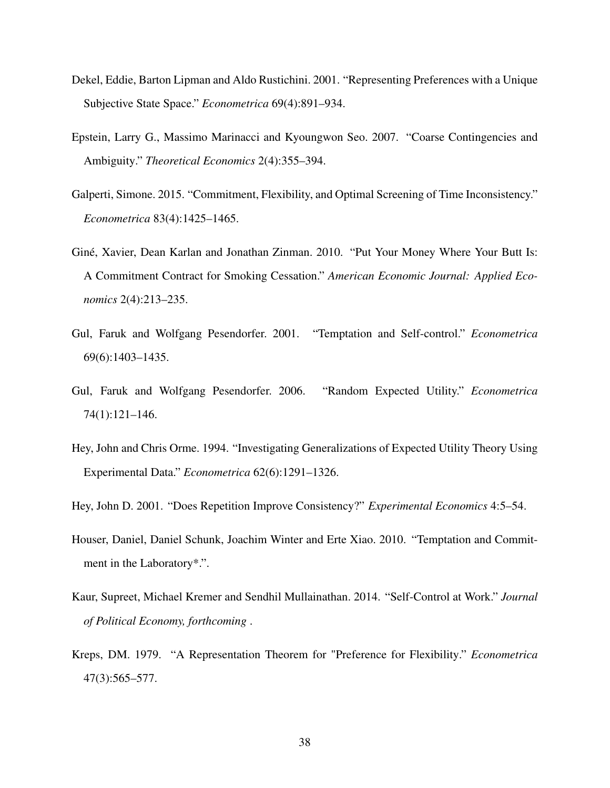- Dekel, Eddie, Barton Lipman and Aldo Rustichini. 2001. "Representing Preferences with a Unique Subjective State Space." *Econometrica* 69(4):891–934.
- Epstein, Larry G., Massimo Marinacci and Kyoungwon Seo. 2007. "Coarse Contingencies and Ambiguity." *Theoretical Economics* 2(4):355–394.
- Galperti, Simone. 2015. "Commitment, Flexibility, and Optimal Screening of Time Inconsistency." *Econometrica* 83(4):1425–1465.
- Giné, Xavier, Dean Karlan and Jonathan Zinman. 2010. "Put Your Money Where Your Butt Is: A Commitment Contract for Smoking Cessation." *American Economic Journal: Applied Economics* 2(4):213–235.
- Gul, Faruk and Wolfgang Pesendorfer. 2001. "Temptation and Self-control." *Econometrica* 69(6):1403–1435.
- Gul, Faruk and Wolfgang Pesendorfer. 2006. "Random Expected Utility." *Econometrica* 74(1):121–146.
- Hey, John and Chris Orme. 1994. "Investigating Generalizations of Expected Utility Theory Using Experimental Data." *Econometrica* 62(6):1291–1326.
- Hey, John D. 2001. "Does Repetition Improve Consistency?" *Experimental Economics* 4:5–54.
- Houser, Daniel, Daniel Schunk, Joachim Winter and Erte Xiao. 2010. "Temptation and Commitment in the Laboratory\*.".
- Kaur, Supreet, Michael Kremer and Sendhil Mullainathan. 2014. "Self-Control at Work." *Journal of Political Economy, forthcoming* .
- Kreps, DM. 1979. "A Representation Theorem for "Preference for Flexibility." *Econometrica* 47(3):565–577.